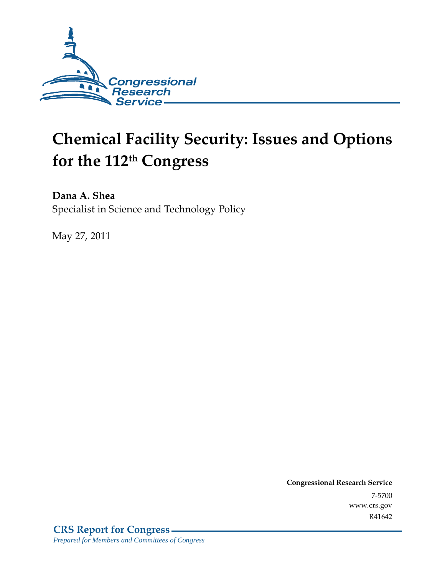

# **Chemical Facility Security: Issues and Options for the 112th Congress**

**Dana A. Shea**  Specialist in Science and Technology Policy

May 27, 2011

**Congressional Research Service** 7-5700 www.crs.gov R41642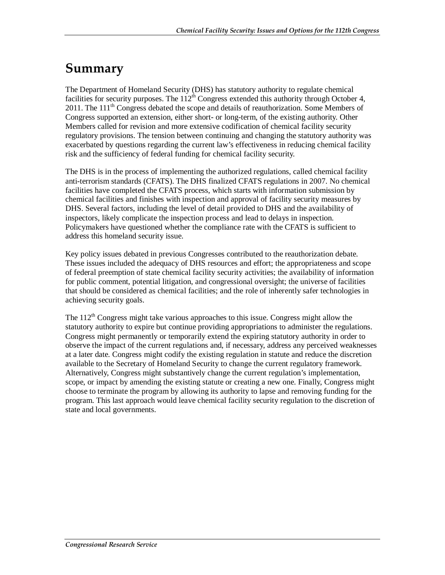## **Summary**

The Department of Homeland Security (DHS) has statutory authority to regulate chemical facilities for security purposes. The  $112<sup>th</sup>$  Congress extended this authority through October 4, 2011. The 111<sup>th</sup> Congress debated the scope and details of reauthorization. Some Members of Congress supported an extension, either short- or long-term, of the existing authority. Other Members called for revision and more extensive codification of chemical facility security regulatory provisions. The tension between continuing and changing the statutory authority was exacerbated by questions regarding the current law's effectiveness in reducing chemical facility risk and the sufficiency of federal funding for chemical facility security.

The DHS is in the process of implementing the authorized regulations, called chemical facility anti-terrorism standards (CFATS). The DHS finalized CFATS regulations in 2007. No chemical facilities have completed the CFATS process, which starts with information submission by chemical facilities and finishes with inspection and approval of facility security measures by DHS. Several factors, including the level of detail provided to DHS and the availability of inspectors, likely complicate the inspection process and lead to delays in inspection. Policymakers have questioned whether the compliance rate with the CFATS is sufficient to address this homeland security issue.

Key policy issues debated in previous Congresses contributed to the reauthorization debate. These issues included the adequacy of DHS resources and effort; the appropriateness and scope of federal preemption of state chemical facility security activities; the availability of information for public comment, potential litigation, and congressional oversight; the universe of facilities that should be considered as chemical facilities; and the role of inherently safer technologies in achieving security goals.

The  $112<sup>th</sup>$  Congress might take various approaches to this issue. Congress might allow the statutory authority to expire but continue providing appropriations to administer the regulations. Congress might permanently or temporarily extend the expiring statutory authority in order to observe the impact of the current regulations and, if necessary, address any perceived weaknesses at a later date. Congress might codify the existing regulation in statute and reduce the discretion available to the Secretary of Homeland Security to change the current regulatory framework. Alternatively, Congress might substantively change the current regulation's implementation, scope, or impact by amending the existing statute or creating a new one. Finally, Congress might choose to terminate the program by allowing its authority to lapse and removing funding for the program. This last approach would leave chemical facility security regulation to the discretion of state and local governments.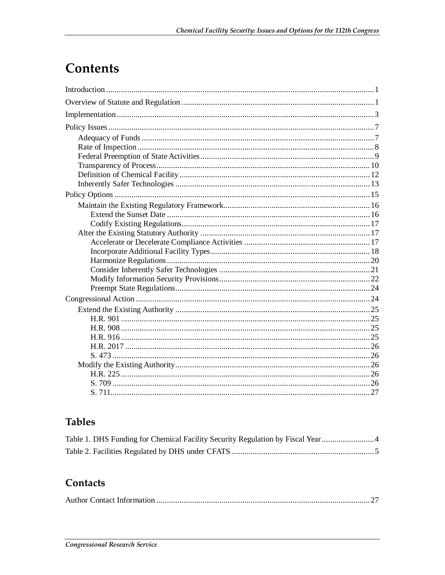# Contents

## **Tables**

| Table 1. DHS Funding for Chemical Facility Security Regulation by Fiscal Year 4 |  |
|---------------------------------------------------------------------------------|--|
|                                                                                 |  |

## Contacts

|--|--|--|--|--|--|--|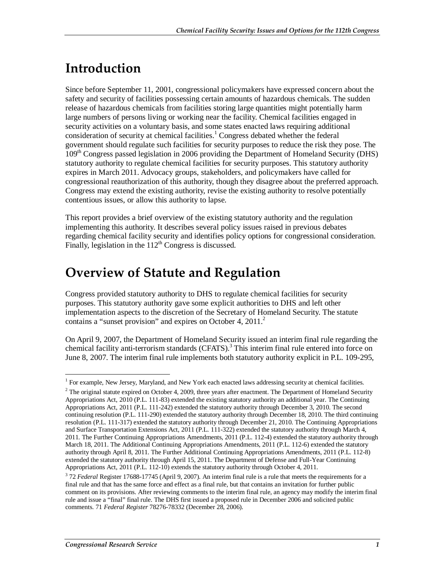# **Introduction**

Since before September 11, 2001, congressional policymakers have expressed concern about the safety and security of facilities possessing certain amounts of hazardous chemicals. The sudden release of hazardous chemicals from facilities storing large quantities might potentially harm large numbers of persons living or working near the facility. Chemical facilities engaged in security activities on a voluntary basis, and some states enacted laws requiring additional consideration of security at chemical facilities.<sup>1</sup> Congress debated whether the federal government should regulate such facilities for security purposes to reduce the risk they pose. The 109th Congress passed legislation in 2006 providing the Department of Homeland Security (DHS) statutory authority to regulate chemical facilities for security purposes. This statutory authority expires in March 2011. Advocacy groups, stakeholders, and policymakers have called for congressional reauthorization of this authority, though they disagree about the preferred approach. Congress may extend the existing authority, revise the existing authority to resolve potentially contentious issues, or allow this authority to lapse.

This report provides a brief overview of the existing statutory authority and the regulation implementing this authority. It describes several policy issues raised in previous debates regarding chemical facility security and identifies policy options for congressional consideration. Finally, legislation in the  $112<sup>th</sup>$  Congress is discussed.

## **Overview of Statute and Regulation**

Congress provided statutory authority to DHS to regulate chemical facilities for security purposes. This statutory authority gave some explicit authorities to DHS and left other implementation aspects to the discretion of the Secretary of Homeland Security. The statute contains a "sunset provision" and expires on October 4,  $2011<sup>2</sup>$ 

On April 9, 2007, the Department of Homeland Security issued an interim final rule regarding the chemical facility anti-terrorism standards (CFATS).<sup>3</sup> This interim final rule entered into force on June 8, 2007. The interim final rule implements both statutory authority explicit in P.L. 109-295,

<sup>1</sup> For example, New Jersey, Maryland, and New York each enacted laws addressing security at chemical facilities.

 $2$  The original statute expired on October 4, 2009, three years after enactment. The Department of Homeland Security Appropriations Act, 2010 (P.L. 111-83) extended the existing statutory authority an additional year. The Continuing Appropriations Act, 2011 (P.L. 111-242) extended the statutory authority through December 3, 2010. The second continuing resolution (P.L. 111-290) extended the statutory authority through December 18, 2010. The third continuing resolution (P.L. 111-317) extended the statutory authority through December 21, 2010. The Continuing Appropriations and Surface Transportation Extensions Act, 2011 (P.L. 111-322) extended the statutory authority through March 4, 2011. The Further Continuing Appropriations Amendments, 2011 (P.L. 112-4) extended the statutory authority through March 18, 2011. The Additional Continuing Appropriations Amendments, 2011 (P.L. 112-6) extended the statutory authority through April 8, 2011. The Further Additional Continuing Appropriations Amendments, 2011 (P.L. 112-8) extended the statutory authority through April 15, 2011. The Department of Defense and Full-Year Continuing Appropriations Act, 2011 (P.L. 112-10) extends the statutory authority through October 4, 2011.

<sup>&</sup>lt;sup>3</sup> 72 *Federal* Register 17688-17745 (April 9, 2007). An interim final rule is a rule that meets the requirements for a final rule and that has the same force and effect as a final rule, but that contains an invitation for further public comment on its provisions. After reviewing comments to the interim final rule, an agency may modify the interim final rule and issue a "final" final rule. The DHS first issued a proposed rule in December 2006 and solicited public comments. 71 *Federal Register* 78276-78332 (December 28, 2006).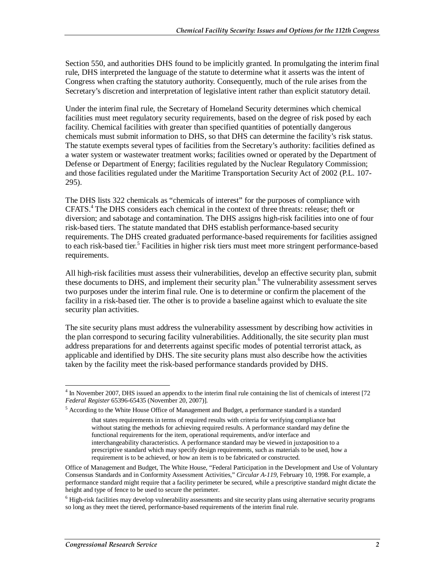Section 550, and authorities DHS found to be implicitly granted. In promulgating the interim final rule, DHS interpreted the language of the statute to determine what it asserts was the intent of Congress when crafting the statutory authority. Consequently, much of the rule arises from the Secretary's discretion and interpretation of legislative intent rather than explicit statutory detail.

Under the interim final rule, the Secretary of Homeland Security determines which chemical facilities must meet regulatory security requirements, based on the degree of risk posed by each facility. Chemical facilities with greater than specified quantities of potentially dangerous chemicals must submit information to DHS, so that DHS can determine the facility's risk status. The statute exempts several types of facilities from the Secretary's authority: facilities defined as a water system or wastewater treatment works; facilities owned or operated by the Department of Defense or Department of Energy; facilities regulated by the Nuclear Regulatory Commission; and those facilities regulated under the Maritime Transportation Security Act of 2002 (P.L. 107- 295).

The DHS lists 322 chemicals as "chemicals of interest" for the purposes of compliance with CFATS.4 The DHS considers each chemical in the context of three threats: release; theft or diversion; and sabotage and contamination. The DHS assigns high-risk facilities into one of four risk-based tiers. The statute mandated that DHS establish performance-based security requirements. The DHS created graduated performance-based requirements for facilities assigned to each risk-based tier.<sup>5</sup> Facilities in higher risk tiers must meet more stringent performance-based requirements.

All high-risk facilities must assess their vulnerabilities, develop an effective security plan, submit these documents to DHS, and implement their security plan.<sup>6</sup> The vulnerability assessment serves two purposes under the interim final rule. One is to determine or confirm the placement of the facility in a risk-based tier. The other is to provide a baseline against which to evaluate the site security plan activities.

The site security plans must address the vulnerability assessment by describing how activities in the plan correspond to securing facility vulnerabilities. Additionally, the site security plan must address preparations for and deterrents against specific modes of potential terrorist attack, as applicable and identified by DHS. The site security plans must also describe how the activities taken by the facility meet the risk-based performance standards provided by DHS.

The November 2007, DHS issued an appendix to the interim final rule containing the list of chemicals of interest [72] *Federal Register* 65396-65435 (November 20, 2007)].

<sup>&</sup>lt;sup>5</sup> According to the White House Office of Management and Budget, a performance standard is a standard

that states requirements in terms of required results with criteria for verifying compliance but without stating the methods for achieving required results. A performance standard may define the functional requirements for the item, operational requirements, and/or interface and interchangeability characteristics. A performance standard may be viewed in juxtaposition to a prescriptive standard which may specify design requirements, such as materials to be used, how a requirement is to be achieved, or how an item is to be fabricated or constructed.

Office of Management and Budget, The White House, "Federal Participation in the Development and Use of Voluntary Consensus Standards and in Conformity Assessment Activities," *Circular A-119*, February 10, 1998. For example, a performance standard might require that a facility perimeter be secured, while a prescriptive standard might dictate the height and type of fence to be used to secure the perimeter.

<sup>&</sup>lt;sup>6</sup> High-risk facilities may develop vulnerability assessments and site security plans using alternative security programs so long as they meet the tiered, performance-based requirements of the interim final rule.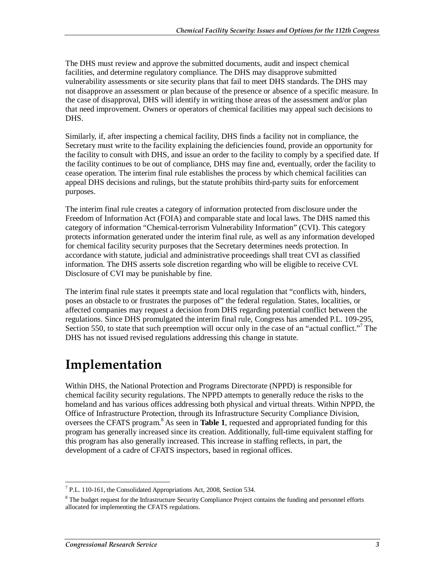The DHS must review and approve the submitted documents, audit and inspect chemical facilities, and determine regulatory compliance. The DHS may disapprove submitted vulnerability assessments or site security plans that fail to meet DHS standards. The DHS may not disapprove an assessment or plan because of the presence or absence of a specific measure. In the case of disapproval, DHS will identify in writing those areas of the assessment and/or plan that need improvement. Owners or operators of chemical facilities may appeal such decisions to DHS.

Similarly, if, after inspecting a chemical facility, DHS finds a facility not in compliance, the Secretary must write to the facility explaining the deficiencies found, provide an opportunity for the facility to consult with DHS, and issue an order to the facility to comply by a specified date. If the facility continues to be out of compliance, DHS may fine and, eventually, order the facility to cease operation. The interim final rule establishes the process by which chemical facilities can appeal DHS decisions and rulings, but the statute prohibits third-party suits for enforcement purposes.

The interim final rule creates a category of information protected from disclosure under the Freedom of Information Act (FOIA) and comparable state and local laws. The DHS named this category of information "Chemical-terrorism Vulnerability Information" (CVI). This category protects information generated under the interim final rule, as well as any information developed for chemical facility security purposes that the Secretary determines needs protection. In accordance with statute, judicial and administrative proceedings shall treat CVI as classified information. The DHS asserts sole discretion regarding who will be eligible to receive CVI. Disclosure of CVI may be punishable by fine.

The interim final rule states it preempts state and local regulation that "conflicts with, hinders, poses an obstacle to or frustrates the purposes of" the federal regulation. States, localities, or affected companies may request a decision from DHS regarding potential conflict between the regulations. Since DHS promulgated the interim final rule, Congress has amended P.L. 109-295, Section 550, to state that such preemption will occur only in the case of an "actual conflict."<sup>7</sup> The DHS has not issued revised regulations addressing this change in statute.

## **Implementation**

Within DHS, the National Protection and Programs Directorate (NPPD) is responsible for chemical facility security regulations. The NPPD attempts to generally reduce the risks to the homeland and has various offices addressing both physical and virtual threats. Within NPPD, the Office of Infrastructure Protection, through its Infrastructure Security Compliance Division, oversees the CFATS program.<sup>8</sup> As seen in Table 1, requested and appropriated funding for this program has generally increased since its creation. Additionally, full-time equivalent staffing for this program has also generally increased. This increase in staffing reflects, in part, the development of a cadre of CFATS inspectors, based in regional offices.

T<br><sup>7</sup> P.L. 110-161, the Consolidated Appropriations Act, 2008, Section 534.

<sup>&</sup>lt;sup>8</sup> The budget request for the Infrastructure Security Compliance Project contains the funding and personnel efforts allocated for implementing the CFATS regulations.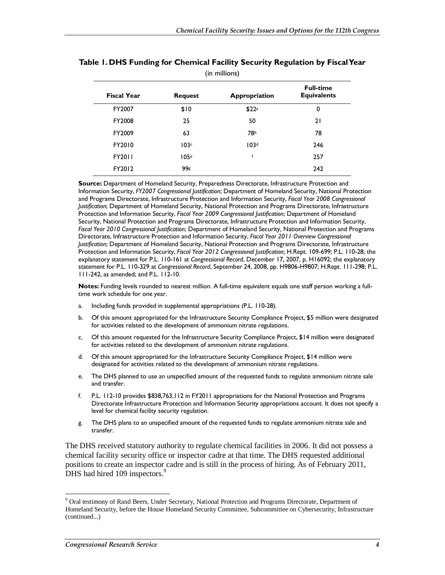| (in millions)      |                 |                   |                                        |  |
|--------------------|-----------------|-------------------|----------------------------------------|--|
| <b>Fiscal Year</b> | <b>Request</b>  | Appropriation     | <b>Full-time</b><br><b>Equivalents</b> |  |
| FY2007             | \$10            | \$22 <sup>a</sup> | 0                                      |  |
| FY2008             | 25              | 50                | 21                                     |  |
| FY2009             | 63              | 78b               | 78                                     |  |
| FY2010             | 103c            | 103 <sup>d</sup>  | 246                                    |  |
| <b>FY2011</b>      | 105e            | f                 | 257                                    |  |
| FY2012             | 99 <sub>g</sub> |                   | 242                                    |  |
|                    |                 |                   |                                        |  |

#### **Table 1. DHS Funding for Chemical Facility Security Regulation by Fiscal Year**

**Source:** Department of Homeland Security, Preparedness Directorate, Infrastructure Protection and Information Security, *FY2007 Congressional Justification*; Department of Homeland Security, National Protection and Programs Directorate, Infrastructure Protection and Information Security, *Fiscal Year 2008 Congressional Justification*; Department of Homeland Security, National Protection and Programs Directorate, Infrastructure Protection and Information Security, *Fiscal Year 2009 Congressional Justification*; Department of Homeland Security, National Protection and Programs Directorate, Infrastructure Protection and Information Security, *Fiscal Year 2010 Congressional Justification*; Department of Homeland Security, National Protection and Programs Directorate, Infrastructure Protection and Information Security, *Fiscal Year 2011 Overview Congressional Justification*; Department of Homeland Security, National Protection and Programs Directorate, Infrastructure Protection and Information Security, *Fiscal Year 2012 Congressional Justification*; H.Rept. 109-699; P.L. 110-28; the explanatory statement for P.L. 110-161 at *Congressional Record*, December 17, 2007, p. H16092; the explanatory statement for P.L. 110-329 at *Congressional Record*, September 24, 2008, pp. H9806-H9807; H.Rept. 111-298; P.L. 111-242, as amended; and P.L. 112-10.

**Notes:** Funding levels rounded to nearest million. A full-time equivalent equals one staff person working a fulltime work schedule for one year.

- a. Including funds provided in supplemental appropriations (P.L. 110-28).
- b. Of this amount appropriated for the Infrastructure Security Compliance Project, \$5 million were designated for activities related to the development of ammonium nitrate regulations.
- c. Of this amount requested for the Infrastructure Security Compliance Project, \$14 million were designated for activities related to the development of ammonium nitrate regulations.
- d. Of this amount appropriated for the Infrastructure Security Compliance Project, \$14 million were designated for activities related to the development of ammonium nitrate regulations.
- e. The DHS planned to use an unspecified amount of the requested funds to regulate ammonium nitrate sale and transfer.
- f. P.L. 112-10 provides \$838,763,112 in FY2011 appropriations for the National Protection and Programs Directorate Infrastructure Protection and Information Security appropriations account. It does not specify a level for chemical facility security regulation.
- g. The DHS plans to an unspecified amount of the requested funds to regulate ammonium nitrate sale and transfer.

The DHS received statutory authority to regulate chemical facilities in 2006. It did not possess a chemical facility security office or inspector cadre at that time. The DHS requested additional positions to create an inspector cadre and is still in the process of hiring. As of February 2011, DHS had hired 109 inspectors.<sup>9</sup>

<sup>-</sup><sup>9</sup> Oral testimony of Rand Beers, Under Secretary, National Protection and Programs Directorate, Department of Homeland Security, before the House Homeland Security Committee, Subcommittee on Cybersecurity, Infrastructure (continued...)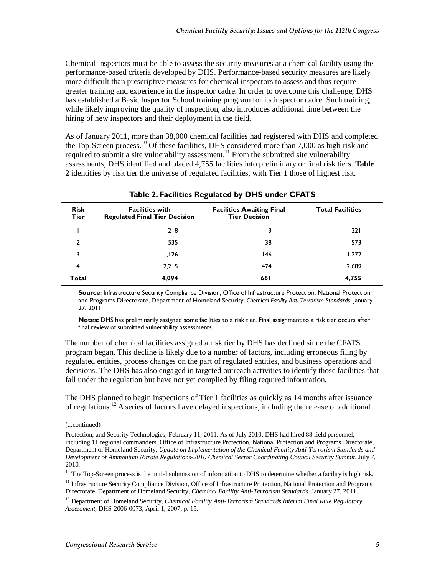Chemical inspectors must be able to assess the security measures at a chemical facility using the performance-based criteria developed by DHS. Performance-based security measures are likely more difficult than prescriptive measures for chemical inspectors to assess and thus require greater training and experience in the inspector cadre. In order to overcome this challenge, DHS has established a Basic Inspector School training program for its inspector cadre. Such training, while likely improving the quality of inspection, also introduces additional time between the hiring of new inspectors and their deployment in the field.

As of January 2011, more than 38,000 chemical facilities had registered with DHS and completed the Top-Screen process.<sup>10</sup> Of these facilities, DHS considered more than 7,000 as high-risk and required to submit a site vulnerability assessment.<sup>11</sup> From the submitted site vulnerability assessments, DHS identified and placed 4,755 facilities into preliminary or final risk tiers. **Table 2** identifies by risk tier the universe of regulated facilities, with Tier 1 those of highest risk.

| <b>Risk</b><br>Tier | <b>Facilities with</b><br><b>Regulated Final Tier Decision</b> | <b>Facilities Awaiting Final</b><br><b>Tier Decision</b> | <b>Total Facilities</b> |  |  |  |
|---------------------|----------------------------------------------------------------|----------------------------------------------------------|-------------------------|--|--|--|
|                     | 218                                                            | 3                                                        | 221                     |  |  |  |
| 2                   | 535                                                            | 38                                                       | 573                     |  |  |  |
| 3                   | 1,126                                                          | 146                                                      | 1,272                   |  |  |  |
| 4                   | 2,215                                                          | 474                                                      | 2,689                   |  |  |  |
| <b>Total</b>        | 4,094                                                          | 66 I                                                     | 4,755                   |  |  |  |

#### **Table 2. Facilities Regulated by DHS under CFATS**

**Source:** Infrastructure Security Compliance Division, Office of Infrastructure Protection, National Protection and Programs Directorate, Department of Homeland Security, *Chemical Facility Anti-Terrorism Standards*, January 27, 2011.

**Notes:** DHS has preliminarily assigned some facilities to a risk tier. Final assignment to a risk tier occurs after final review of submitted vulnerability assessments.

The number of chemical facilities assigned a risk tier by DHS has declined since the CFATS program began. This decline is likely due to a number of factors, including erroneous filing by regulated entities, process changes on the part of regulated entities, and business operations and decisions. The DHS has also engaged in targeted outreach activities to identify those facilities that fall under the regulation but have not yet complied by filing required information.

The DHS planned to begin inspections of Tier 1 facilities as quickly as 14 months after issuance of regulations.<sup>12</sup> A series of factors have delayed inspections, including the release of additional

<sup>(...</sup>continued)

Protection, and Security Technologies, February 11, 2011. As of July 2010, DHS had hired 88 field personnel, including 11 regional commanders. Office of Infrastructure Protection, National Protection and Programs Directorate, Department of Homeland Security, *Update on Implementation of the Chemical Facility Anti-Terrorism Standards and Development of Ammonium Nitrate Regulations-2010 Chemical Sector Coordinating Council Security Summit*, July 7, 2010.

 $10$  The Top-Screen process is the initial submission of information to DHS to determine whether a facility is high risk.

<sup>&</sup>lt;sup>11</sup> Infrastructure Security Compliance Division, Office of Infrastructure Protection, National Protection and Programs Directorate, Department of Homeland Security, *Chemical Facility Anti-Terrorism Standards*, January 27, 2011.

<sup>&</sup>lt;sup>12</sup> Department of Homeland Security, *Chemical Facility Anti-Terrorism Standards Interim Final Rule Regulatory Assessment,* DHS-2006-0073, April 1, 2007, p. 15.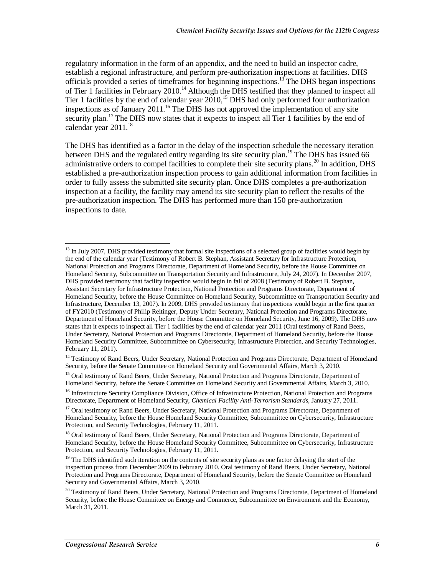regulatory information in the form of an appendix, and the need to build an inspector cadre, establish a regional infrastructure, and perform pre-authorization inspections at facilities. DHS officials provided a series of timeframes for beginning inspections.<sup>13</sup> The DHS began inspections of Tier 1 facilities in February 2010.<sup>14</sup> Although the DHS testified that they planned to inspect all Tier 1 facilities by the end of calendar year  $2010$ ,<sup>15</sup> DHS had only performed four authorization inspections as of January 2011.<sup>16</sup> The DHS has not approved the implementation of any site security plan.<sup>17</sup> The DHS now states that it expects to inspect all Tier 1 facilities by the end of calendar year 2011.<sup>18</sup>

The DHS has identified as a factor in the delay of the inspection schedule the necessary iteration between DHS and the regulated entity regarding its site security plan.<sup>19</sup> The DHS has issued 66 administrative orders to compel facilities to complete their site security plans.<sup>20</sup> In addition, DHS established a pre-authorization inspection process to gain additional information from facilities in order to fully assess the submitted site security plan. Once DHS completes a pre-authorization inspection at a facility, the facility may amend its site security plan to reflect the results of the pre-authorization inspection. The DHS has performed more than 150 pre-authorization inspections to date.

<sup>-</sup> $13$  In July 2007, DHS provided testimony that formal site inspections of a selected group of facilities would begin by the end of the calendar year (Testimony of Robert B. Stephan, Assistant Secretary for Infrastructure Protection, National Protection and Programs Directorate, Department of Homeland Security, before the House Committee on Homeland Security, Subcommittee on Transportation Security and Infrastructure, July 24, 2007). In December 2007, DHS provided testimony that facility inspection would begin in fall of 2008 (Testimony of Robert B. Stephan, Assistant Secretary for Infrastructure Protection, National Protection and Programs Directorate, Department of Homeland Security, before the House Committee on Homeland Security, Subcommittee on Transportation Security and Infrastructure, December 13, 2007). In 2009, DHS provided testimony that inspections would begin in the first quarter of FY2010 (Testimony of Philip Reitinger, Deputy Under Secretary, National Protection and Programs Directorate, Department of Homeland Security, before the House Committee on Homeland Security, June 16, 2009). The DHS now states that it expects to inspect all Tier 1 facilities by the end of calendar year 2011 (Oral testimony of Rand Beers, Under Secretary, National Protection and Programs Directorate, Department of Homeland Security, before the House Homeland Security Committee, Subcommittee on Cybersecurity, Infrastructure Protection, and Security Technologies, February 11, 2011).

<sup>&</sup>lt;sup>14</sup> Testimony of Rand Beers, Under Secretary, National Protection and Programs Directorate, Department of Homeland Security, before the Senate Committee on Homeland Security and Governmental Affairs, March 3, 2010.

<sup>&</sup>lt;sup>15</sup> Oral testimony of Rand Beers, Under Secretary, National Protection and Programs Directorate, Department of Homeland Security, before the Senate Committee on Homeland Security and Governmental Affairs, March 3, 2010.

<sup>&</sup>lt;sup>16</sup> Infrastructure Security Compliance Division, Office of Infrastructure Protection, National Protection and Programs Directorate, Department of Homeland Security, *Chemical Facility Anti-Terrorism Standards*, January 27, 2011.

<sup>&</sup>lt;sup>17</sup> Oral testimony of Rand Beers, Under Secretary, National Protection and Programs Directorate, Department of Homeland Security, before the House Homeland Security Committee, Subcommittee on Cybersecurity, Infrastructure Protection, and Security Technologies, February 11, 2011.

<sup>&</sup>lt;sup>18</sup> Oral testimony of Rand Beers, Under Secretary, National Protection and Programs Directorate, Department of Homeland Security, before the House Homeland Security Committee, Subcommittee on Cybersecurity, Infrastructure Protection, and Security Technologies, February 11, 2011.

<sup>&</sup>lt;sup>19</sup> The DHS identified such iteration on the contents of site security plans as one factor delaying the start of the inspection process from December 2009 to February 2010. Oral testimony of Rand Beers, Under Secretary, National Protection and Programs Directorate, Department of Homeland Security, before the Senate Committee on Homeland Security and Governmental Affairs, March 3, 2010.

<sup>&</sup>lt;sup>20</sup> Testimony of Rand Beers, Under Secretary, National Protection and Programs Directorate, Department of Homeland Security, before the House Committee on Energy and Commerce, Subcommittee on Environment and the Economy, March 31, 2011.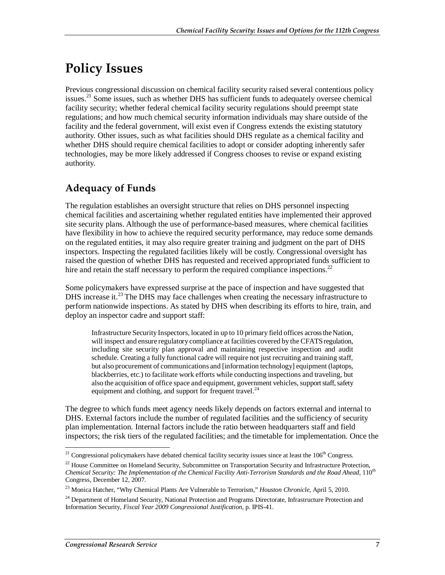# **Policy Issues**

Previous congressional discussion on chemical facility security raised several contentious policy issues.<sup>21</sup> Some issues, such as whether DHS has sufficient funds to adequately oversee chemical facility security; whether federal chemical facility security regulations should preempt state regulations; and how much chemical security information individuals may share outside of the facility and the federal government, will exist even if Congress extends the existing statutory authority. Other issues, such as what facilities should DHS regulate as a chemical facility and whether DHS should require chemical facilities to adopt or consider adopting inherently safer technologies, may be more likely addressed if Congress chooses to revise or expand existing authority.

## **Adequacy of Funds**

The regulation establishes an oversight structure that relies on DHS personnel inspecting chemical facilities and ascertaining whether regulated entities have implemented their approved site security plans. Although the use of performance-based measures, where chemical facilities have flexibility in how to achieve the required security performance, may reduce some demands on the regulated entities, it may also require greater training and judgment on the part of DHS inspectors. Inspecting the regulated facilities likely will be costly. Congressional oversight has raised the question of whether DHS has requested and received appropriated funds sufficient to hire and retain the staff necessary to perform the required compliance inspections.<sup>22</sup>

Some policymakers have expressed surprise at the pace of inspection and have suggested that DHS increase it.<sup>23</sup> The DHS may face challenges when creating the necessary infrastructure to perform nationwide inspections. As stated by DHS when describing its efforts to hire, train, and deploy an inspector cadre and support staff:

Infrastructure Security Inspectors, located in up to 10 primary field offices across the Nation, will inspect and ensure regulatory compliance at facilities covered by the CFATS regulation, including site security plan approval and maintaining respective inspection and audit schedule. Creating a fully functional cadre will require not just recruiting and training staff, but also procurement of communications and [information technology] equipment (laptops, blackberries, etc.) to facilitate work efforts while conducting inspections and traveling, but also the acquisition of office space and equipment, government vehicles, support staff, safety equipment and clothing, and support for frequent travel.<sup>24</sup>

The degree to which funds meet agency needs likely depends on factors external and internal to DHS. External factors include the number of regulated facilities and the sufficiency of security plan implementation. Internal factors include the ratio between headquarters staff and field inspectors; the risk tiers of the regulated facilities; and the timetable for implementation. Once the

<sup>&</sup>lt;u>.</u>  $21$  Congressional policymakers have debated chemical facility security issues since at least the  $106<sup>th</sup>$  Congress.

 $^{22}$  House Committee on Homeland Security, Subcommittee on Transportation Security and Infrastructure Protection, *Chemical Security: The Implementation of the Chemical Facility Anti-Terrorism Standards and the Road Ahead*, 110<sup>th</sup> Congress, December 12, 2007.

<sup>23</sup> Monica Hatcher, "Why Chemical Plants Are Vulnerable to Terrorism," *Houston Chronicle*, April 5, 2010.

<sup>&</sup>lt;sup>24</sup> Department of Homeland Security, National Protection and Programs Directorate, Infrastructure Protection and Information Security, *Fiscal Year 2009 Congressional Justification*, p. IPIS-41.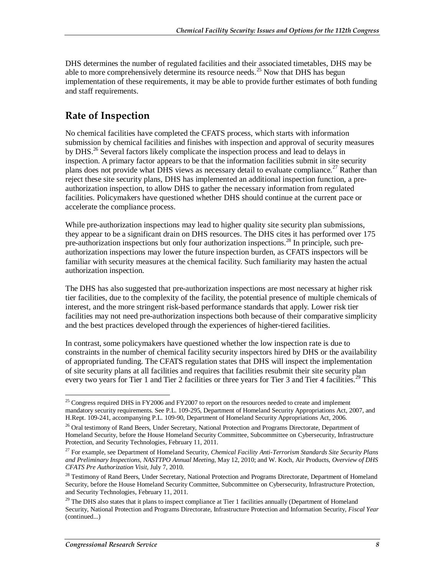DHS determines the number of regulated facilities and their associated timetables, DHS may be able to more comprehensively determine its resource needs.<sup>25</sup> Now that DHS has begun implementation of these requirements, it may be able to provide further estimates of both funding and staff requirements.

## **Rate of Inspection**

No chemical facilities have completed the CFATS process, which starts with information submission by chemical facilities and finishes with inspection and approval of security measures by DHS.<sup>26</sup> Several factors likely complicate the inspection process and lead to delays in inspection. A primary factor appears to be that the information facilities submit in site security plans does not provide what DHS views as necessary detail to evaluate compliance.<sup>27</sup> Rather than reject these site security plans, DHS has implemented an additional inspection function, a preauthorization inspection, to allow DHS to gather the necessary information from regulated facilities. Policymakers have questioned whether DHS should continue at the current pace or accelerate the compliance process.

While pre-authorization inspections may lead to higher quality site security plan submissions, they appear to be a significant drain on DHS resources. The DHS cites it has performed over 175 pre-authorization inspections but only four authorization inspections.<sup>28</sup> In principle, such preauthorization inspections may lower the future inspection burden, as CFATS inspectors will be familiar with security measures at the chemical facility. Such familiarity may hasten the actual authorization inspection.

The DHS has also suggested that pre-authorization inspections are most necessary at higher risk tier facilities, due to the complexity of the facility, the potential presence of multiple chemicals of interest, and the more stringent risk-based performance standards that apply. Lower risk tier facilities may not need pre-authorization inspections both because of their comparative simplicity and the best practices developed through the experiences of higher-tiered facilities.

In contrast, some policymakers have questioned whether the low inspection rate is due to constraints in the number of chemical facility security inspectors hired by DHS or the availability of appropriated funding. The CFATS regulation states that DHS will inspect the implementation of site security plans at all facilities and requires that facilities resubmit their site security plan every two years for Tier 1 and Tier 2 facilities or three years for Tier 3 and Tier 4 facilities.<sup>29</sup> This

<sup>-</sup><sup>25</sup> Congress required DHS in FY2006 and FY2007 to report on the resources needed to create and implement mandatory security requirements. See P.L. 109-295, Department of Homeland Security Appropriations Act, 2007, and H.Rept. 109-241, accompanying P.L. 109-90, Department of Homeland Security Appropriations Act, 2006.

<sup>&</sup>lt;sup>26</sup> Oral testimony of Rand Beers, Under Secretary, National Protection and Programs Directorate, Department of Homeland Security, before the House Homeland Security Committee, Subcommittee on Cybersecurity, Infrastructure Protection, and Security Technologies, February 11, 2011.

<sup>27</sup> For example, see Department of Homeland Security, *Chemical Facility Anti-Terrorism Standards Site Security Plans and Preliminary Inspections, NASTTPO Annual Meeting*, May 12, 2010; and W. Koch, Air Products, *Overview of DHS CFATS Pre Authorization Visit*, July 7, 2010.

<sup>&</sup>lt;sup>28</sup> Testimony of Rand Beers, Under Secretary, National Protection and Programs Directorate, Department of Homeland Security, before the House Homeland Security Committee, Subcommittee on Cybersecurity, Infrastructure Protection, and Security Technologies, February 11, 2011.

 $29$  The DHS also states that it plans to inspect compliance at Tier 1 facilities annually (Department of Homeland Security, National Protection and Programs Directorate, Infrastructure Protection and Information Security, *Fiscal Year*  (continued...)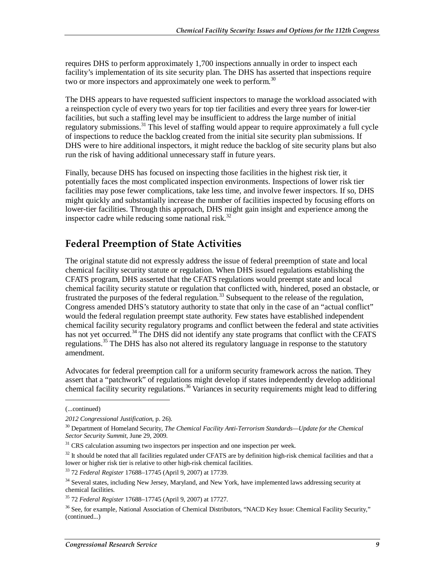requires DHS to perform approximately 1,700 inspections annually in order to inspect each facility's implementation of its site security plan. The DHS has asserted that inspections require two or more inspectors and approximately one week to perform.<sup>30</sup>

The DHS appears to have requested sufficient inspectors to manage the workload associated with a reinspection cycle of every two years for top tier facilities and every three years for lower-tier facilities, but such a staffing level may be insufficient to address the large number of initial regulatory submissions.<sup>31</sup> This level of staffing would appear to require approximately a full cycle of inspections to reduce the backlog created from the initial site security plan submissions. If DHS were to hire additional inspectors, it might reduce the backlog of site security plans but also run the risk of having additional unnecessary staff in future years.

Finally, because DHS has focused on inspecting those facilities in the highest risk tier, it potentially faces the most complicated inspection environments. Inspections of lower risk tier facilities may pose fewer complications, take less time, and involve fewer inspectors. If so, DHS might quickly and substantially increase the number of facilities inspected by focusing efforts on lower-tier facilities. Through this approach, DHS might gain insight and experience among the inspector cadre while reducing some national risk. $32$ 

## **Federal Preemption of State Activities**

The original statute did not expressly address the issue of federal preemption of state and local chemical facility security statute or regulation. When DHS issued regulations establishing the CFATS program, DHS asserted that the CFATS regulations would preempt state and local chemical facility security statute or regulation that conflicted with, hindered, posed an obstacle, or frustrated the purposes of the federal regulation.<sup>33</sup> Subsequent to the release of the regulation, Congress amended DHS's statutory authority to state that only in the case of an "actual conflict" would the federal regulation preempt state authority. Few states have established independent chemical facility security regulatory programs and conflict between the federal and state activities has not yet occurred.<sup>34</sup> The DHS did not identify any state programs that conflict with the CFATS regulations.35 The DHS has also not altered its regulatory language in response to the statutory amendment.

Advocates for federal preemption call for a uniform security framework across the nation. They assert that a "patchwork" of regulations might develop if states independently develop additional chemical facility security regulations.<sup>36</sup> Variances in security requirements might lead to differing

<u>.</u>

<sup>(...</sup>continued)

*<sup>2012</sup> Congressional Justification*, p. 26).

<sup>30</sup> Department of Homeland Security, *The Chemical Facility Anti-Terrorism Standards—Update for the Chemical Sector Security Summit*, June 29, 2009.

 $31$  CRS calculation assuming two inspectors per inspection and one inspection per week.

<sup>&</sup>lt;sup>32</sup> It should be noted that all facilities regulated under CFATS are by definition high-risk chemical facilities and that a lower or higher risk tier is relative to other high-risk chemical facilities.

<sup>33 72</sup> *Federal Register* 17688–17745 (April 9, 2007) at 17739.

<sup>&</sup>lt;sup>34</sup> Several states, including New Jersey, Maryland, and New York, have implemented laws addressing security at chemical facilities.

<sup>35 72</sup> *Federal Register* 17688–17745 (April 9, 2007) at 17727.

<sup>&</sup>lt;sup>36</sup> See, for example, National Association of Chemical Distributors, "NACD Key Issue: Chemical Facility Security," (continued...)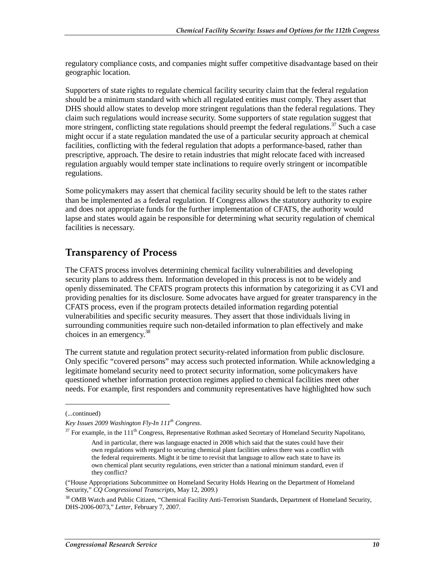regulatory compliance costs, and companies might suffer competitive disadvantage based on their geographic location.

Supporters of state rights to regulate chemical facility security claim that the federal regulation should be a minimum standard with which all regulated entities must comply. They assert that DHS should allow states to develop more stringent regulations than the federal regulations. They claim such regulations would increase security. Some supporters of state regulation suggest that more stringent, conflicting state regulations should preempt the federal regulations.<sup>37</sup> Such a case might occur if a state regulation mandated the use of a particular security approach at chemical facilities, conflicting with the federal regulation that adopts a performance-based, rather than prescriptive, approach. The desire to retain industries that might relocate faced with increased regulation arguably would temper state inclinations to require overly stringent or incompatible regulations.

Some policymakers may assert that chemical facility security should be left to the states rather than be implemented as a federal regulation. If Congress allows the statutory authority to expire and does not appropriate funds for the further implementation of CFATS, the authority would lapse and states would again be responsible for determining what security regulation of chemical facilities is necessary.

## **Transparency of Process**

The CFATS process involves determining chemical facility vulnerabilities and developing security plans to address them. Information developed in this process is not to be widely and openly disseminated. The CFATS program protects this information by categorizing it as CVI and providing penalties for its disclosure. Some advocates have argued for greater transparency in the CFATS process, even if the program protects detailed information regarding potential vulnerabilities and specific security measures. They assert that those individuals living in surrounding communities require such non-detailed information to plan effectively and make choices in an emergency.<sup>38</sup>

The current statute and regulation protect security-related information from public disclosure. Only specific "covered persons" may access such protected information. While acknowledging a legitimate homeland security need to protect security information, some policymakers have questioned whether information protection regimes applied to chemical facilities meet other needs. For example, first responders and community representatives have highlighted how such

<u>.</u>

<sup>(...</sup>continued)

*Key Issues 2009 Washington Fly-In 111th Congress*.

 $37$  For example, in the  $111<sup>th</sup>$  Congress, Representative Rothman asked Secretary of Homeland Security Napolitano,

And in particular, there was language enacted in 2008 which said that the states could have their own regulations with regard to securing chemical plant facilities unless there was a conflict with the federal requirements. Might it be time to revisit that language to allow each state to have its own chemical plant security regulations, even stricter than a national minimum standard, even if they conflict?

<sup>(&</sup>quot;House Appropriations Subcommittee on Homeland Security Holds Hearing on the Department of Homeland Security," *CQ Congressional Transcripts*, May 12, 2009.)

<sup>&</sup>lt;sup>38</sup> OMB Watch and Public Citizen, "Chemical Facility Anti-Terrorism Standards, Department of Homeland Security, DHS-2006-0073," *Letter*, February 7, 2007.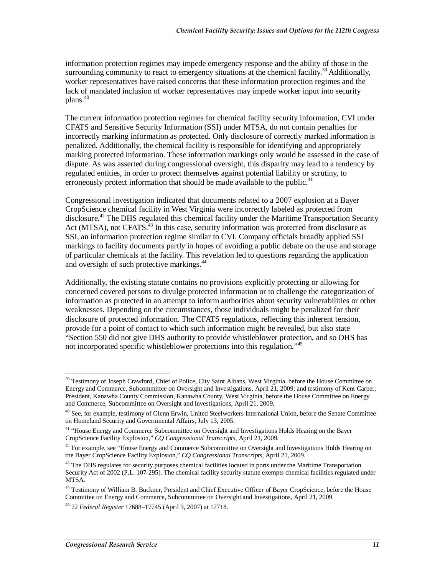information protection regimes may impede emergency response and the ability of those in the surrounding community to react to emergency situations at the chemical facility.<sup>39</sup> Additionally, worker representatives have raised concerns that these information protection regimes and the lack of mandated inclusion of worker representatives may impede worker input into security plans.<sup>40</sup>

The current information protection regimes for chemical facility security information, CVI under CFATS and Sensitive Security Information (SSI) under MTSA, do not contain penalties for incorrectly marking information as protected. Only disclosure of correctly marked information is penalized. Additionally, the chemical facility is responsible for identifying and appropriately marking protected information. These information markings only would be assessed in the case of dispute. As was asserted during congressional oversight, this disparity may lead to a tendency by regulated entities, in order to protect themselves against potential liability or scrutiny, to erroneously protect information that should be made available to the public.<sup>41</sup>

Congressional investigation indicated that documents related to a 2007 explosion at a Bayer CropScience chemical facility in West Virginia were incorrectly labeled as protected from disclosure.<sup>42</sup> The DHS regulated this chemical facility under the Maritime Transportation Security Act (MTSA), not CFATS.<sup>43</sup> In this case, security information was protected from disclosure as SSI, an information protection regime similar to CVI. Company officials broadly applied SSI markings to facility documents partly in hopes of avoiding a public debate on the use and storage of particular chemicals at the facility. This revelation led to questions regarding the application and oversight of such protective markings.<sup>44</sup>

Additionally, the existing statute contains no provisions explicitly protecting or allowing for concerned covered persons to divulge protected information or to challenge the categorization of information as protected in an attempt to inform authorities about security vulnerabilities or other weaknesses. Depending on the circumstances, those individuals might be penalized for their disclosure of protected information. The CFATS regulations, reflecting this inherent tension, provide for a point of contact to which such information might be revealed, but also state "Section 550 did not give DHS authority to provide whistleblower protection, and so DHS has not incorporated specific whistleblower protections into this regulation."<sup>45</sup>

-

<sup>&</sup>lt;sup>39</sup> Testimony of Joseph Crawford, Chief of Police, City Saint Albans, West Virginia, before the House Committee on Energy and Commerce, Subcommittee on Oversight and Investigations, April 21, 2009; and testimony of Kent Carper, President, Kanawha County Commission, Kanawha County, West Virginia, before the House Committee on Energy and Commerce, Subcommittee on Oversight and Investigations, April 21, 2009.

<sup>&</sup>lt;sup>40</sup> See, for example, testimony of Glenn Erwin, United Steelworkers International Union, before the Senate Committee on Homeland Security and Governmental Affairs, July 13, 2005.

<sup>&</sup>lt;sup>41</sup> "House Energy and Commerce Subcommittee on Oversight and Investigations Holds Hearing on the Bayer CropScience Facility Explosion," *CQ Congressional Transcripts*, April 21, 2009.

<sup>&</sup>lt;sup>42</sup> For example, see "House Energy and Commerce Subcommittee on Oversight and Investigations Holds Hearing on the Bayer CropScience Facility Explosion," *CQ Congressional Transcripts*, April 21, 2009.

<sup>&</sup>lt;sup>43</sup> The DHS regulates for security purposes chemical facilities located in ports under the Maritime Transportation Security Act of 2002 (P.L. 107-295). The chemical facility security statute exempts chemical facilities regulated under MTSA.

<sup>&</sup>lt;sup>44</sup> Testimony of William B. Buckner, President and Chief Executive Officer of Bayer CropScience, before the House Committee on Energy and Commerce, Subcommittee on Oversight and Investigations, April 21, 2009.

<sup>45 72</sup> *Federal Register* 17688–17745 (April 9, 2007) at 17718.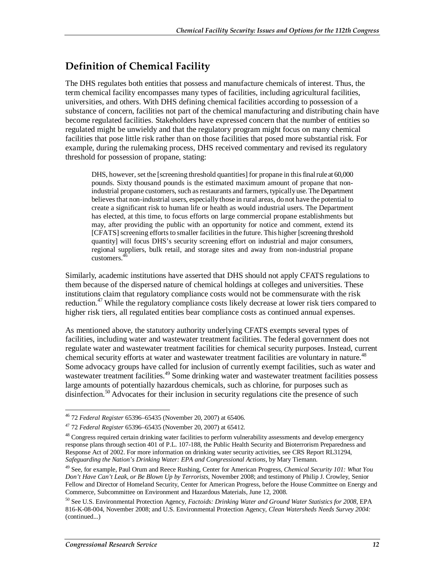## **Definition of Chemical Facility**

The DHS regulates both entities that possess and manufacture chemicals of interest. Thus, the term chemical facility encompasses many types of facilities, including agricultural facilities, universities, and others. With DHS defining chemical facilities according to possession of a substance of concern, facilities not part of the chemical manufacturing and distributing chain have become regulated facilities. Stakeholders have expressed concern that the number of entities so regulated might be unwieldy and that the regulatory program might focus on many chemical facilities that pose little risk rather than on those facilities that posed more substantial risk. For example, during the rulemaking process, DHS received commentary and revised its regulatory threshold for possession of propane, stating:

DHS, however, set the [screening threshold quantities] for propane in this final rule at 60,000 pounds. Sixty thousand pounds is the estimated maximum amount of propane that nonindustrial propane customers, such as restaurants and farmers, typically use. The Department believes that non-industrial users, especially those in rural areas, do not have the potential to create a significant risk to human life or health as would industrial users. The Department has elected, at this time, to focus efforts on large commercial propane establishments but may, after providing the public with an opportunity for notice and comment, extend its [CFATS] screening efforts to smaller facilities in the future. This higher [screening threshold quantity] will focus DHS's security screening effort on industrial and major consumers, regional suppliers, bulk retail, and storage sites and away from non-industrial propane customers.<sup>4</sup>

Similarly, academic institutions have asserted that DHS should not apply CFATS regulations to them because of the dispersed nature of chemical holdings at colleges and universities. These institutions claim that regulatory compliance costs would not be commensurate with the risk reduction.<sup>47</sup> While the regulatory compliance costs likely decrease at lower risk tiers compared to higher risk tiers, all regulated entities bear compliance costs as continued annual expenses.

As mentioned above, the statutory authority underlying CFATS exempts several types of facilities, including water and wastewater treatment facilities. The federal government does not regulate water and wastewater treatment facilities for chemical security purposes. Instead, current chemical security efforts at water and wastewater treatment facilities are voluntary in nature.<sup>48</sup> Some advocacy groups have called for inclusion of currently exempt facilities, such as water and wastewater treatment facilities.<sup>49</sup> Some drinking water and wastewater treatment facilities possess large amounts of potentially hazardous chemicals, such as chlorine, for purposes such as disinfection.<sup>50</sup> Advocates for their inclusion in security regulations cite the presence of such

<sup>-</sup>46 72 *Federal Register* 65396–65435 (November 20, 2007) at 65406.

<sup>47 72</sup> *Federal Register* 65396–65435 (November 20, 2007) at 65412.

<sup>&</sup>lt;sup>48</sup> Congress required certain drinking water facilities to perform vulnerability assessments and develop emergency response plans through section 401 of P.L. 107-188, the Public Health Security and Bioterrorism Preparedness and Response Act of 2002. For more information on drinking water security activities, see CRS Report RL31294, *Safeguarding the Nation's Drinking Water: EPA and Congressional Actions*, by Mary Tiemann.

<sup>49</sup> See, for example, Paul Orum and Reece Rushing, Center for American Progress, *Chemical Security 101: What You Don't Have Can't Leak, or Be Blown Up by Terrorists*, November 2008; and testimony of Philip J. Crowley, Senior Fellow and Director of Homeland Security, Center for American Progress, before the House Committee on Energy and Commerce, Subcommittee on Environment and Hazardous Materials, June 12, 2008.

<sup>50</sup> See U.S. Environmental Protection Agency, *Factoids: Drinking Water and Ground Water Statistics for 2008*, EPA 816-K-08-004, November 2008; and U.S. Environmental Protection Agency, *Clean Watersheds Needs Survey 2004:*  (continued...)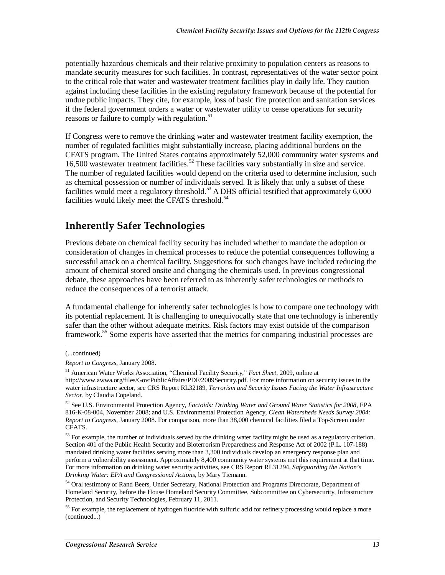potentially hazardous chemicals and their relative proximity to population centers as reasons to mandate security measures for such facilities. In contrast, representatives of the water sector point to the critical role that water and wastewater treatment facilities play in daily life. They caution against including these facilities in the existing regulatory framework because of the potential for undue public impacts. They cite, for example, loss of basic fire protection and sanitation services if the federal government orders a water or wastewater utility to cease operations for security reasons or failure to comply with regulation.<sup>51</sup>

If Congress were to remove the drinking water and wastewater treatment facility exemption, the number of regulated facilities might substantially increase, placing additional burdens on the CFATS program. The United States contains approximately 52,000 community water systems and 16,500 wastewater treatment facilities.<sup>52</sup> These facilities vary substantially in size and service. The number of regulated facilities would depend on the criteria used to determine inclusion, such as chemical possession or number of individuals served. It is likely that only a subset of these facilities would meet a regulatory threshold.<sup>53</sup> A DHS official testified that approximately 6,000 facilities would likely meet the CFATS threshold.<sup>54</sup>

## **Inherently Safer Technologies**

Previous debate on chemical facility security has included whether to mandate the adoption or consideration of changes in chemical processes to reduce the potential consequences following a successful attack on a chemical facility. Suggestions for such changes have included reducing the amount of chemical stored onsite and changing the chemicals used. In previous congressional debate, these approaches have been referred to as inherently safer technologies or methods to reduce the consequences of a terrorist attack.

A fundamental challenge for inherently safer technologies is how to compare one technology with its potential replacement. It is challenging to unequivocally state that one technology is inherently safer than the other without adequate metrics. Risk factors may exist outside of the comparison framework.<sup>55</sup> Some experts have asserted that the metrics for comparing industrial processes are

1

<sup>(...</sup>continued)

*Report to Congress*, January 2008.

<sup>51</sup> American Water Works Association, "Chemical Facility Security," *Fact Sheet*, 2009, online at http://www.awwa.org/files/GovtPublicAffairs/PDF/2009Security.pdf. For more information on security issues in the water infrastructure sector, see CRS Report RL32189, *Terrorism and Security Issues Facing the Water Infrastructure Sector*, by Claudia Copeland.

<sup>52</sup> See U.S. Environmental Protection Agency, *Factoids: Drinking Water and Ground Water Statistics for 2008*, EPA 816-K-08-004, November 2008; and U.S. Environmental Protection Agency, *Clean Watersheds Needs Survey 2004: Report to Congress*, January 2008. For comparison, more than 38,000 chemical facilities filed a Top-Screen under CFATS.

 $53$  For example, the number of individuals served by the drinking water facility might be used as a regulatory criterion. Section 401 of the Public Health Security and Bioterrorism Preparedness and Response Act of 2002 (P.L. 107-188) mandated drinking water facilities serving more than 3,300 individuals develop an emergency response plan and perform a vulnerability assessment. Approximately 8,400 community water systems met this requirement at that time. For more information on drinking water security activities, see CRS Report RL31294, *Safeguarding the Nation's Drinking Water: EPA and Congressional Actions*, by Mary Tiemann.

<sup>&</sup>lt;sup>54</sup> Oral testimony of Rand Beers, Under Secretary, National Protection and Programs Directorate, Department of Homeland Security, before the House Homeland Security Committee, Subcommittee on Cybersecurity, Infrastructure Protection, and Security Technologies, February 11, 2011.

<sup>&</sup>lt;sup>55</sup> For example, the replacement of hydrogen fluoride with sulfuric acid for refinery processing would replace a more (continued...)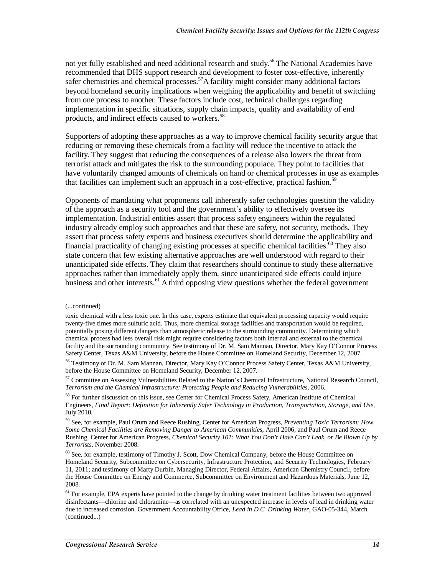not yet fully established and need additional research and study.<sup>56</sup> The National Academies have recommended that DHS support research and development to foster cost-effective, inherently safer chemistries and chemical processes.<sup>57</sup>A facility might consider many additional factors beyond homeland security implications when weighing the applicability and benefit of switching from one process to another. These factors include cost, technical challenges regarding implementation in specific situations, supply chain impacts, quality and availability of end products, and indirect effects caused to workers.<sup>58</sup>

Supporters of adopting these approaches as a way to improve chemical facility security argue that reducing or removing these chemicals from a facility will reduce the incentive to attack the facility. They suggest that reducing the consequences of a release also lowers the threat from terrorist attack and mitigates the risk to the surrounding populace. They point to facilities that have voluntarily changed amounts of chemicals on hand or chemical processes in use as examples that facilities can implement such an approach in a cost-effective, practical fashion.<sup>59</sup>

Opponents of mandating what proponents call inherently safer technologies question the validity of the approach as a security tool and the government's ability to effectively oversee its implementation. Industrial entities assert that process safety engineers within the regulated industry already employ such approaches and that these are safety, not security, methods. They assert that process safety experts and business executives should determine the applicability and financial practicality of changing existing processes at specific chemical facilities.<sup>60</sup> They also state concern that few existing alternative approaches are well understood with regard to their unanticipated side effects. They claim that researchers should continue to study these alternative approaches rather than immediately apply them, since unanticipated side effects could injure business and other interests.<sup>61</sup> A third opposing view questions whether the federal government

<u>.</u>

<sup>(...</sup>continued)

toxic chemical with a less toxic one. In this case, experts estimate that equivalent processing capacity would require twenty-five times more sulfuric acid. Thus, more chemical storage facilities and transportation would be required, potentially posing different dangers than atmospheric release to the surrounding community. Determining which chemical process had less overall risk might require considering factors both internal and external to the chemical facility and the surrounding community. See testimony of Dr. M. Sam Mannan, Director, Mary Kay O'Connor Process Safety Center, Texas A&M University, before the House Committee on Homeland Security, December 12, 2007.

<sup>&</sup>lt;sup>56</sup> Testimony of Dr. M. Sam Mannan, Director, Mary Kay O'Connor Process Safety Center, Texas A&M University, before the House Committee on Homeland Security, December 12, 2007.

 $57$  Committee on Assessing Vulnerabilities Related to the Nation's Chemical Infrastructure, National Research Council, *Terrorism and the Chemical Infrastructure: Protecting People and Reducing Vulnerabilities*, 2006.

<sup>&</sup>lt;sup>58</sup> For further discussion on this issue, see Center for Chemical Process Safety, American Institute of Chemical Engineers, *Final Report: Definition for Inherently Safer Technology in Production, Transportation, Storage, and Use,*  July 2010.

<sup>59</sup> See, for example, Paul Orum and Reece Rushing, Center for American Progress, *Preventing Toxic Terrorism: How Some Chemical Facilities are Removing Danger to American Communities*, April 2006; and Paul Orum and Reece Rushing, Center for American Progress, *Chemical Security 101: What You Don't Have Can't Leak, or Be Blown Up by Terrorists*, November 2008.

<sup>60</sup> See, for example, testimony of Timothy J. Scott, Dow Chemical Company, before the House Committee on Homeland Security, Subcommittee on Cybersecurity, Infrastructure Protection, and Security Technologies, February 11, 2011; and testimony of Marty Durbin, Managing Director, Federal Affairs, American Chemistry Council, before the House Committee on Energy and Commerce, Subcommittee on Environment and Hazardous Materials, June 12, 2008.

<sup>&</sup>lt;sup>61</sup> For example, EPA experts have pointed to the change by drinking water treatment facilities between two approved disinfectants—chlorine and chloramine—as correlated with an unexpected increase in levels of lead in drinking water due to increased corrosion. Government Accountability Office, *Lead in D.C. Drinking Water*, GAO-05-344, March (continued...)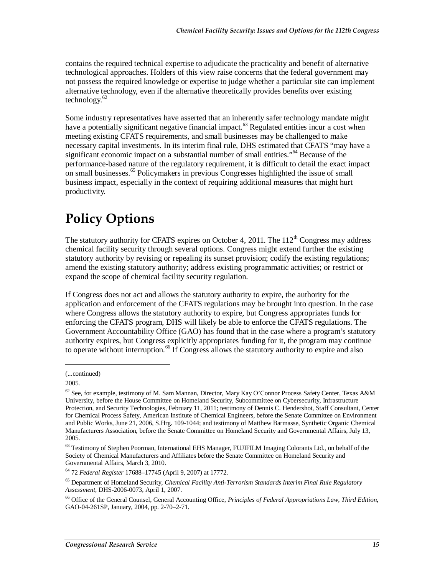contains the required technical expertise to adjudicate the practicality and benefit of alternative technological approaches. Holders of this view raise concerns that the federal government may not possess the required knowledge or expertise to judge whether a particular site can implement alternative technology, even if the alternative theoretically provides benefits over existing technology. $62$ 

Some industry representatives have asserted that an inherently safer technology mandate might have a potentially significant negative financial impact. $^{63}$  Regulated entities incur a cost when meeting existing CFATS requirements, and small businesses may be challenged to make necessary capital investments. In its interim final rule, DHS estimated that CFATS "may have a significant economic impact on a substantial number of small entities."<sup>64</sup> Because of the performance-based nature of the regulatory requirement, it is difficult to detail the exact impact on small businesses.<sup>65</sup> Policymakers in previous Congresses highlighted the issue of small business impact, especially in the context of requiring additional measures that might hurt productivity.

# **Policy Options**

The statutory authority for CFATS expires on October 4, 2011. The  $112<sup>th</sup>$  Congress may address chemical facility security through several options. Congress might extend further the existing statutory authority by revising or repealing its sunset provision; codify the existing regulations; amend the existing statutory authority; address existing programmatic activities; or restrict or expand the scope of chemical facility security regulation.

If Congress does not act and allows the statutory authority to expire, the authority for the application and enforcement of the CFATS regulations may be brought into question. In the case where Congress allows the statutory authority to expire, but Congress appropriates funds for enforcing the CFATS program, DHS will likely be able to enforce the CFATS regulations. The Government Accountability Office (GAO) has found that in the case where a program's statutory authority expires, but Congress explicitly appropriates funding for it, the program may continue to operate without interruption.<sup>66</sup> If Congress allows the statutory authority to expire and also

1

<sup>(...</sup>continued)

<sup>2005.</sup> 

<sup>62</sup> See, for example, testimony of M. Sam Mannan, Director, Mary Kay O'Connor Process Safety Center, Texas A&M University, before the House Committee on Homeland Security, Subcommittee on Cybersecurity, Infrastructure Protection, and Security Technologies, February 11, 2011; testimony of Dennis C. Hendershot, Staff Consultant, Center for Chemical Process Safety, American Institute of Chemical Engineers, before the Senate Committee on Environment and Public Works, June 21, 2006, S.Hrg. 109-1044; and testimony of Matthew Barmasse, Synthetic Organic Chemical Manufacturers Association, before the Senate Committee on Homeland Security and Governmental Affairs, July 13, 2005.

<sup>&</sup>lt;sup>63</sup> Testimony of Stephen Poorman, International EHS Manager, FUJIFILM Imaging Colorants Ltd., on behalf of the Society of Chemical Manufacturers and Affiliates before the Senate Committee on Homeland Security and Governmental Affairs, March 3, 2010.

<sup>64 72</sup> *Federal Register* 17688–17745 (April 9, 2007) at 17772.

<sup>65</sup> Department of Homeland Security, *Chemical Facility Anti-Terrorism Standards Interim Final Rule Regulatory Assessment,* DHS-2006-0073, April 1, 2007.

<sup>66</sup> Office of the General Counsel, General Accounting Office, *Principles of Federal Appropriations Law, Third Edition*, GAO-04-261SP, January, 2004, pp. 2-70–2-71.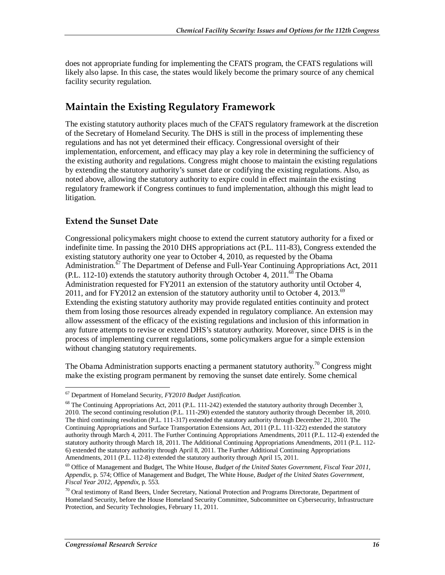does not appropriate funding for implementing the CFATS program, the CFATS regulations will likely also lapse. In this case, the states would likely become the primary source of any chemical facility security regulation.

## **Maintain the Existing Regulatory Framework**

The existing statutory authority places much of the CFATS regulatory framework at the discretion of the Secretary of Homeland Security. The DHS is still in the process of implementing these regulations and has not yet determined their efficacy. Congressional oversight of their implementation, enforcement, and efficacy may play a key role in determining the sufficiency of the existing authority and regulations. Congress might choose to maintain the existing regulations by extending the statutory authority's sunset date or codifying the existing regulations. Also, as noted above, allowing the statutory authority to expire could in effect maintain the existing regulatory framework if Congress continues to fund implementation, although this might lead to litigation.

### **Extend the Sunset Date**

Congressional policymakers might choose to extend the current statutory authority for a fixed or indefinite time. In passing the 2010 DHS appropriations act (P.L. 111-83), Congress extended the existing statutory authority one year to October 4, 2010, as requested by the Obama Administration.<sup>67</sup> The Department of Defense and Full-Year Continuing Appropriations Act, 2011 (P.L. 112-10) extends the statutory authority through October 4, 2011.<sup>68</sup> The Obama Administration requested for FY2011 an extension of the statutory authority until October 4, 2011, and for FY2012 an extension of the statutory authority until to October 4, 2013.<sup>69</sup> Extending the existing statutory authority may provide regulated entities continuity and protect them from losing those resources already expended in regulatory compliance. An extension may allow assessment of the efficacy of the existing regulations and inclusion of this information in any future attempts to revise or extend DHS's statutory authority. Moreover, since DHS is in the process of implementing current regulations, some policymakers argue for a simple extension without changing statutory requirements.

The Obama Administration supports enacting a permanent statutory authority.<sup>70</sup> Congress might make the existing program permanent by removing the sunset date entirely. Some chemical

<sup>&</sup>lt;u>.</u> 67 Department of Homeland Security, *FY2010 Budget Justification.*

 $68$  The Continuing Appropriations Act, 2011 (P.L. 111-242) extended the statutory authority through December 3, 2010. The second continuing resolution (P.L. 111-290) extended the statutory authority through December 18, 2010. The third continuing resolution (P.L. 111-317) extended the statutory authority through December 21, 2010. The Continuing Appropriations and Surface Transportation Extensions Act, 2011 (P.L. 111-322) extended the statutory authority through March 4, 2011. The Further Continuing Appropriations Amendments, 2011 (P.L. 112-4) extended the statutory authority through March 18, 2011. The Additional Continuing Appropriations Amendments, 2011 (P.L. 112- 6) extended the statutory authority through April 8, 2011. The Further Additional Continuing Appropriations Amendments, 2011 (P.L. 112-8) extended the statutory authority through April 15, 2011.

<sup>69</sup> Office of Management and Budget, The White House, *Budget of the United States Government, Fiscal Year 2011, Appendix*, p. 574; Office of Management and Budget, The White House, *Budget of the United States Government, Fiscal Year 2012, Appendix*, p. 553.

<sup>70</sup> Oral testimony of Rand Beers, Under Secretary, National Protection and Programs Directorate, Department of Homeland Security, before the House Homeland Security Committee, Subcommittee on Cybersecurity, Infrastructure Protection, and Security Technologies, February 11, 2011.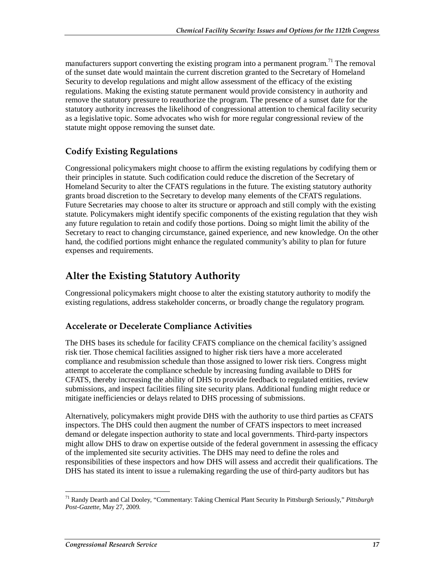manufacturers support converting the existing program into a permanent program.<sup>71</sup> The removal of the sunset date would maintain the current discretion granted to the Secretary of Homeland Security to develop regulations and might allow assessment of the efficacy of the existing regulations. Making the existing statute permanent would provide consistency in authority and remove the statutory pressure to reauthorize the program. The presence of a sunset date for the statutory authority increases the likelihood of congressional attention to chemical facility security as a legislative topic. Some advocates who wish for more regular congressional review of the statute might oppose removing the sunset date.

### **Codify Existing Regulations**

Congressional policymakers might choose to affirm the existing regulations by codifying them or their principles in statute. Such codification could reduce the discretion of the Secretary of Homeland Security to alter the CFATS regulations in the future. The existing statutory authority grants broad discretion to the Secretary to develop many elements of the CFATS regulations. Future Secretaries may choose to alter its structure or approach and still comply with the existing statute. Policymakers might identify specific components of the existing regulation that they wish any future regulation to retain and codify those portions. Doing so might limit the ability of the Secretary to react to changing circumstance, gained experience, and new knowledge. On the other hand, the codified portions might enhance the regulated community's ability to plan for future expenses and requirements.

## **Alter the Existing Statutory Authority**

Congressional policymakers might choose to alter the existing statutory authority to modify the existing regulations, address stakeholder concerns, or broadly change the regulatory program.

### **Accelerate or Decelerate Compliance Activities**

The DHS bases its schedule for facility CFATS compliance on the chemical facility's assigned risk tier. Those chemical facilities assigned to higher risk tiers have a more accelerated compliance and resubmission schedule than those assigned to lower risk tiers. Congress might attempt to accelerate the compliance schedule by increasing funding available to DHS for CFATS, thereby increasing the ability of DHS to provide feedback to regulated entities, review submissions, and inspect facilities filing site security plans. Additional funding might reduce or mitigate inefficiencies or delays related to DHS processing of submissions.

Alternatively, policymakers might provide DHS with the authority to use third parties as CFATS inspectors. The DHS could then augment the number of CFATS inspectors to meet increased demand or delegate inspection authority to state and local governments. Third-party inspectors might allow DHS to draw on expertise outside of the federal government in assessing the efficacy of the implemented site security activities. The DHS may need to define the roles and responsibilities of these inspectors and how DHS will assess and accredit their qualifications. The DHS has stated its intent to issue a rulemaking regarding the use of third-party auditors but has

-

<sup>71</sup> Randy Dearth and Cal Dooley, "Commentary: Taking Chemical Plant Security In Pittsburgh Seriously," *Pittsburgh Post-Gazette*, May 27, 2009.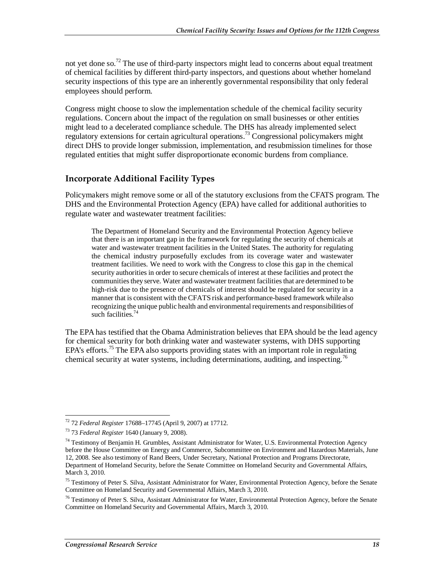not yet done so.<sup>72</sup> The use of third-party inspectors might lead to concerns about equal treatment of chemical facilities by different third-party inspectors, and questions about whether homeland security inspections of this type are an inherently governmental responsibility that only federal employees should perform.

Congress might choose to slow the implementation schedule of the chemical facility security regulations. Concern about the impact of the regulation on small businesses or other entities might lead to a decelerated compliance schedule. The DHS has already implemented select regulatory extensions for certain agricultural operations.<sup>73</sup> Congressional policymakers might direct DHS to provide longer submission, implementation, and resubmission timelines for those regulated entities that might suffer disproportionate economic burdens from compliance.

### **Incorporate Additional Facility Types**

Policymakers might remove some or all of the statutory exclusions from the CFATS program. The DHS and the Environmental Protection Agency (EPA) have called for additional authorities to regulate water and wastewater treatment facilities:

The Department of Homeland Security and the Environmental Protection Agency believe that there is an important gap in the framework for regulating the security of chemicals at water and wastewater treatment facilities in the United States. The authority for regulating the chemical industry purposefully excludes from its coverage water and wastewater treatment facilities. We need to work with the Congress to close this gap in the chemical security authorities in order to secure chemicals of interest at these facilities and protect the communities they serve. Water and wastewater treatment facilities that are determined to be high-risk due to the presence of chemicals of interest should be regulated for security in a manner that is consistent with the CFATS risk and performance-based framework while also recognizing the unique public health and environmental requirements and responsibilities of such facilities.<sup>74</sup>

The EPA has testified that the Obama Administration believes that EPA should be the lead agency for chemical security for both drinking water and wastewater systems, with DHS supporting EPA's efforts.<sup>75</sup> The EPA also supports providing states with an important role in regulating chemical security at water systems, including determinations, auditing, and inspecting.<sup>76</sup>

<sup>-</sup>72 72 *Federal Register* 17688–17745 (April 9, 2007) at 17712.

<sup>73 73</sup> *Federal Register* 1640 (January 9, 2008).

<sup>&</sup>lt;sup>74</sup> Testimony of Benjamin H. Grumbles, Assistant Administrator for Water, U.S. Environmental Protection Agency before the House Committee on Energy and Commerce, Subcommittee on Environment and Hazardous Materials, June 12, 2008. See also testimony of Rand Beers, Under Secretary, National Protection and Programs Directorate, Department of Homeland Security, before the Senate Committee on Homeland Security and Governmental Affairs, March 3, 2010.

<sup>&</sup>lt;sup>75</sup> Testimony of Peter S. Silva, Assistant Administrator for Water, Environmental Protection Agency, before the Senate Committee on Homeland Security and Governmental Affairs, March 3, 2010.

<sup>&</sup>lt;sup>76</sup> Testimony of Peter S. Silva, Assistant Administrator for Water, Environmental Protection Agency, before the Senate Committee on Homeland Security and Governmental Affairs, March 3, 2010.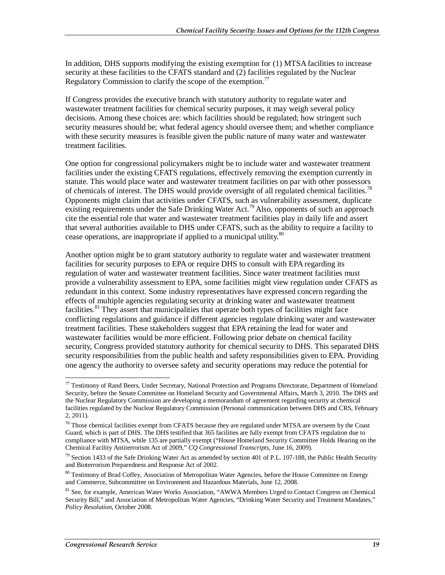In addition, DHS supports modifying the existing exemption for (1) MTSA facilities to increase security at these facilities to the CFATS standard and (2) facilities regulated by the Nuclear Regulatory Commission to clarify the scope of the exemption.<sup>77</sup>

If Congress provides the executive branch with statutory authority to regulate water and wastewater treatment facilities for chemical security purposes, it may weigh several policy decisions. Among these choices are: which facilities should be regulated; how stringent such security measures should be; what federal agency should oversee them; and whether compliance with these security measures is feasible given the public nature of many water and wastewater treatment facilities.

One option for congressional policymakers might be to include water and wastewater treatment facilities under the existing CFATS regulations, effectively removing the exemption currently in statute. This would place water and wastewater treatment facilities on par with other possessors of chemicals of interest. The DHS would provide oversight of all regulated chemical facilities.<sup>78</sup> Opponents might claim that activities under CFATS, such as vulnerability assessment, duplicate existing requirements under the Safe Drinking Water Act.<sup>79</sup> Also, opponents of such an approach cite the essential role that water and wastewater treatment facilities play in daily life and assert that several authorities available to DHS under CFATS, such as the ability to require a facility to cease operations, are inappropriate if applied to a municipal utility. $80$ 

Another option might be to grant statutory authority to regulate water and wastewater treatment facilities for security purposes to EPA or require DHS to consult with EPA regarding its regulation of water and wastewater treatment facilities. Since water treatment facilities must provide a vulnerability assessment to EPA, some facilities might view regulation under CFATS as redundant in this context. Some industry representatives have expressed concern regarding the effects of multiple agencies regulating security at drinking water and wastewater treatment facilities.<sup>81</sup> They assert that municipalities that operate both types of facilities might face conflicting regulations and guidance if different agencies regulate drinking water and wastewater treatment facilities. These stakeholders suggest that EPA retaining the lead for water and wastewater facilities would be more efficient. Following prior debate on chemical facility security, Congress provided statutory authority for chemical security to DHS. This separated DHS security responsibilities from the public health and safety responsibilities given to EPA. Providing one agency the authority to oversee safety and security operations may reduce the potential for

<sup>-</sup> $77$  Testimony of Rand Beers, Under Secretary, National Protection and Programs Directorate, Department of Homeland Security, before the Senate Committee on Homeland Security and Governmental Affairs, March 3, 2010. The DHS and the Nuclear Regulatory Commission are developing a memorandum of agreement regarding security at chemical facilities regulated by the Nuclear Regulatory Commission (Personal communication between DHS and CRS, February 2, 2011).

<sup>&</sup>lt;sup>78</sup> Those chemical facilities exempt from CFATS because they are regulated under MTSA are overseen by the Coast Guard, which is part of DHS. The DHS testified that 365 facilities are fully exempt from CFATS regulation due to compliance with MTSA, while 135 are partially exempt ("House Homeland Security Committee Holds Hearing on the Chemical Facility Antiterrorism Act of 2009," *CQ Congressional Transcripts*, June 16, 2009).

<sup>&</sup>lt;sup>79</sup> Section 1433 of the Safe Drinking Water Act as amended by section 401 of P.L. 107-188, the Public Health Security and Bioterrorism Preparedness and Response Act of 2002.

<sup>&</sup>lt;sup>80</sup> Testimony of Brad Coffey, Association of Metropolitan Water Agencies, before the House Committee on Energy and Commerce, Subcommittee on Environment and Hazardous Materials, June 12, 2008.

<sup>&</sup>lt;sup>81</sup> See, for example, American Water Works Association, "AWWA Members Urged to Contact Congress on Chemical Security Bill," and Association of Metropolitan Water Agencies, "Drinking Water Security and Treatment Mandates," *Policy Resolution*, October 2008.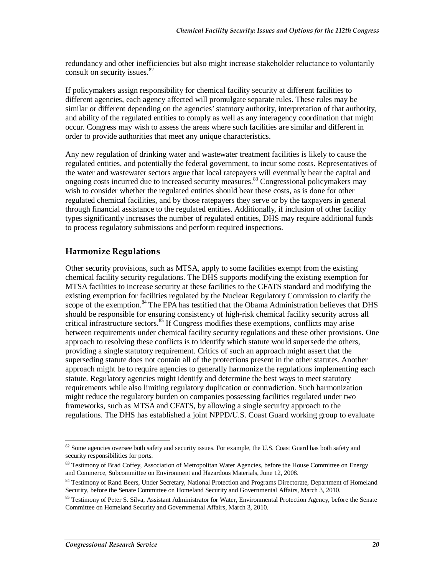redundancy and other inefficiencies but also might increase stakeholder reluctance to voluntarily consult on security issues.<sup>82</sup>

If policymakers assign responsibility for chemical facility security at different facilities to different agencies, each agency affected will promulgate separate rules. These rules may be similar or different depending on the agencies' statutory authority, interpretation of that authority, and ability of the regulated entities to comply as well as any interagency coordination that might occur. Congress may wish to assess the areas where such facilities are similar and different in order to provide authorities that meet any unique characteristics.

Any new regulation of drinking water and wastewater treatment facilities is likely to cause the regulated entities, and potentially the federal government, to incur some costs. Representatives of the water and wastewater sectors argue that local ratepayers will eventually bear the capital and ongoing costs incurred due to increased security measures.<sup>83</sup> Congressional policymakers may wish to consider whether the regulated entities should bear these costs, as is done for other regulated chemical facilities, and by those ratepayers they serve or by the taxpayers in general through financial assistance to the regulated entities. Additionally, if inclusion of other facility types significantly increases the number of regulated entities, DHS may require additional funds to process regulatory submissions and perform required inspections.

### **Harmonize Regulations**

Other security provisions, such as MTSA, apply to some facilities exempt from the existing chemical facility security regulations. The DHS supports modifying the existing exemption for MTSA facilities to increase security at these facilities to the CFATS standard and modifying the existing exemption for facilities regulated by the Nuclear Regulatory Commission to clarify the scope of the exemption.<sup>84</sup> The EPA has testified that the Obama Administration believes that DHS should be responsible for ensuring consistency of high-risk chemical facility security across all critical infrastructure sectors. $85$  If Congress modifies these exemptions, conflicts may arise between requirements under chemical facility security regulations and these other provisions. One approach to resolving these conflicts is to identify which statute would supersede the others, providing a single statutory requirement. Critics of such an approach might assert that the superseding statute does not contain all of the protections present in the other statutes. Another approach might be to require agencies to generally harmonize the regulations implementing each statute. Regulatory agencies might identify and determine the best ways to meet statutory requirements while also limiting regulatory duplication or contradiction. Such harmonization might reduce the regulatory burden on companies possessing facilities regulated under two frameworks, such as MTSA and CFATS, by allowing a single security approach to the regulations. The DHS has established a joint NPPD/U.S. Coast Guard working group to evaluate

<sup>-</sup><sup>82</sup> Some agencies oversee both safety and security issues. For example, the U.S. Coast Guard has both safety and security responsibilities for ports.

<sup>83</sup> Testimony of Brad Coffey, Association of Metropolitan Water Agencies, before the House Committee on Energy and Commerce, Subcommittee on Environment and Hazardous Materials, June 12, 2008.

<sup>84</sup> Testimony of Rand Beers, Under Secretary, National Protection and Programs Directorate, Department of Homeland Security, before the Senate Committee on Homeland Security and Governmental Affairs, March 3, 2010.

<sup>&</sup>lt;sup>85</sup> Testimony of Peter S. Silva, Assistant Administrator for Water, Environmental Protection Agency, before the Senate Committee on Homeland Security and Governmental Affairs, March 3, 2010.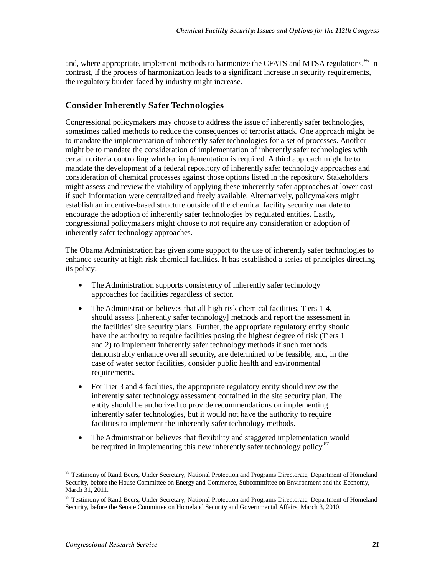and, where appropriate, implement methods to harmonize the CFATS and MTSA regulations.<sup>86</sup> In contrast, if the process of harmonization leads to a significant increase in security requirements, the regulatory burden faced by industry might increase.

### **Consider Inherently Safer Technologies**

Congressional policymakers may choose to address the issue of inherently safer technologies, sometimes called methods to reduce the consequences of terrorist attack. One approach might be to mandate the implementation of inherently safer technologies for a set of processes. Another might be to mandate the consideration of implementation of inherently safer technologies with certain criteria controlling whether implementation is required. A third approach might be to mandate the development of a federal repository of inherently safer technology approaches and consideration of chemical processes against those options listed in the repository. Stakeholders might assess and review the viability of applying these inherently safer approaches at lower cost if such information were centralized and freely available. Alternatively, policymakers might establish an incentive-based structure outside of the chemical facility security mandate to encourage the adoption of inherently safer technologies by regulated entities. Lastly, congressional policymakers might choose to not require any consideration or adoption of inherently safer technology approaches.

The Obama Administration has given some support to the use of inherently safer technologies to enhance security at high-risk chemical facilities. It has established a series of principles directing its policy:

- The Administration supports consistency of inherently safer technology approaches for facilities regardless of sector.
- The Administration believes that all high-risk chemical facilities, Tiers 1-4, should assess [inherently safer technology] methods and report the assessment in the facilities' site security plans. Further, the appropriate regulatory entity should have the authority to require facilities posing the highest degree of risk (Tiers 1 and 2) to implement inherently safer technology methods if such methods demonstrably enhance overall security, are determined to be feasible, and, in the case of water sector facilities, consider public health and environmental requirements.
- For Tier 3 and 4 facilities, the appropriate regulatory entity should review the inherently safer technology assessment contained in the site security plan. The entity should be authorized to provide recommendations on implementing inherently safer technologies, but it would not have the authority to require facilities to implement the inherently safer technology methods.
- The Administration believes that flexibility and staggered implementation would be required in implementing this new inherently safer technology policy. $87$

<u>.</u>

<sup>&</sup>lt;sup>86</sup> Testimony of Rand Beers, Under Secretary, National Protection and Programs Directorate, Department of Homeland Security, before the House Committee on Energy and Commerce, Subcommittee on Environment and the Economy, March 31, 2011.

<sup>&</sup>lt;sup>87</sup> Testimony of Rand Beers, Under Secretary, National Protection and Programs Directorate, Department of Homeland Security, before the Senate Committee on Homeland Security and Governmental Affairs, March 3, 2010.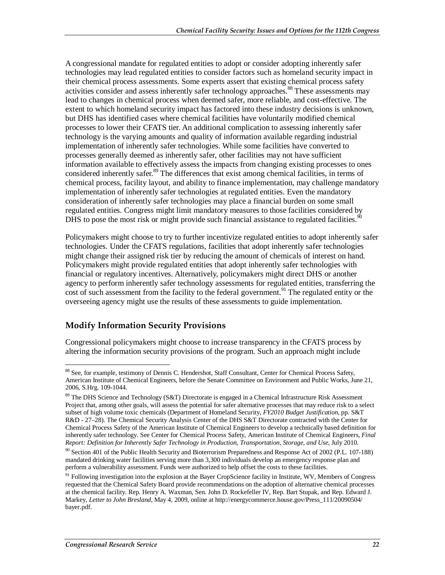A congressional mandate for regulated entities to adopt or consider adopting inherently safer technologies may lead regulated entities to consider factors such as homeland security impact in their chemical process assessments. Some experts assert that existing chemical process safety activities consider and assess inherently safer technology approaches.<sup>88</sup> These assessments may lead to changes in chemical process when deemed safer, more reliable, and cost-effective. The extent to which homeland security impact has factored into these industry decisions is unknown, but DHS has identified cases where chemical facilities have voluntarily modified chemical processes to lower their CFATS tier. An additional complication to assessing inherently safer technology is the varying amounts and quality of information available regarding industrial implementation of inherently safer technologies. While some facilities have converted to processes generally deemed as inherently safer, other facilities may not have sufficient information available to effectively assess the impacts from changing existing processes to ones considered inherently safer.<sup>89</sup> The differences that exist among chemical facilities, in terms of chemical process, facility layout, and ability to finance implementation, may challenge mandatory implementation of inherently safer technologies at regulated entities. Even the mandatory consideration of inherently safer technologies may place a financial burden on some small regulated entities. Congress might limit mandatory measures to those facilities considered by DHS to pose the most risk or might provide such financial assistance to regulated facilities.

Policymakers might choose to try to further incentivize regulated entities to adopt inherently safer technologies. Under the CFATS regulations, facilities that adopt inherently safer technologies might change their assigned risk tier by reducing the amount of chemicals of interest on hand. Policymakers might provide regulated entities that adopt inherently safer technologies with financial or regulatory incentives. Alternatively, policymakers might direct DHS or another agency to perform inherently safer technology assessments for regulated entities, transferring the cost of such assessment from the facility to the federal government.<sup>91</sup> The regulated entity or the overseeing agency might use the results of these assessments to guide implementation.

## **Modify Information Security Provisions**

Congressional policymakers might choose to increase transparency in the CFATS process by altering the information security provisions of the program. Such an approach might include

<sup>-</sup><sup>88</sup> See, for example, testimony of Dennis C. Hendershot, Staff Consultant, Center for Chemical Process Safety, American Institute of Chemical Engineers, before the Senate Committee on Environment and Public Works, June 21, 2006, S.Hrg. 109-1044.

<sup>&</sup>lt;sup>89</sup> The DHS Science and Technology (S&T) Directorate is engaged in a Chemical Infrastructure Risk Assessment Project that, among other goals, will assess the potential for safer alternative processes that may reduce risk to a select subset of high volume toxic chemicals (Department of Homeland Security, *FY2010 Budget Justification*, pp. S&T R&D - 27–28). The Chemical Security Analysis Center of the DHS S&T Directorate contracted with the Center for Chemical Process Safety of the American Institute of Chemical Engineers to develop a technically based definition for inherently safer technology. See Center for Chemical Process Safety, American Institute of Chemical Engineers, *Final Report: Definition for Inherently Safer Technology in Production, Transportation, Storage, and Use*, July 2010.

<sup>&</sup>lt;sup>90</sup> Section 401 of the Public Health Security and Bioterrorism Preparedness and Response Act of 2002 (P.L. 107-188) mandated drinking water facilities serving more than 3,300 individuals develop an emergency response plan and perform a vulnerability assessment. Funds were authorized to help offset the costs to these facilities.

 $91$  Following investigation into the explosion at the Bayer CropScience facility in Institute, WV, Members of Congress requested that the Chemical Safety Board provide recommendations on the adoption of alternative chemical processes at the chemical facility. Rep. Henry A. Waxman, Sen. John D. Rockefeller IV, Rep. Bart Stupak, and Rep. Edward J. Markey, *Letter to John Bresland*, May 4, 2009, online at http://energycommerce.house.gov/Press\_111/20090504/ bayer.pdf.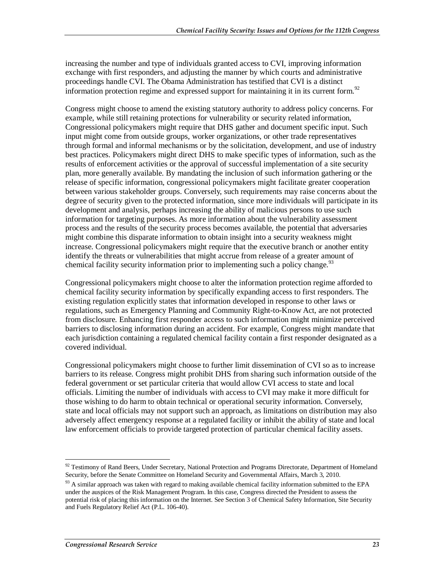increasing the number and type of individuals granted access to CVI, improving information exchange with first responders, and adjusting the manner by which courts and administrative proceedings handle CVI. The Obama Administration has testified that CVI is a distinct information protection regime and expressed support for maintaining it in its current form.<sup>92</sup>

Congress might choose to amend the existing statutory authority to address policy concerns. For example, while still retaining protections for vulnerability or security related information, Congressional policymakers might require that DHS gather and document specific input. Such input might come from outside groups, worker organizations, or other trade representatives through formal and informal mechanisms or by the solicitation, development, and use of industry best practices. Policymakers might direct DHS to make specific types of information, such as the results of enforcement activities or the approval of successful implementation of a site security plan, more generally available. By mandating the inclusion of such information gathering or the release of specific information, congressional policymakers might facilitate greater cooperation between various stakeholder groups. Conversely, such requirements may raise concerns about the degree of security given to the protected information, since more individuals will participate in its development and analysis, perhaps increasing the ability of malicious persons to use such information for targeting purposes. As more information about the vulnerability assessment process and the results of the security process becomes available, the potential that adversaries might combine this disparate information to obtain insight into a security weakness might increase. Congressional policymakers might require that the executive branch or another entity identify the threats or vulnerabilities that might accrue from release of a greater amount of chemical facility security information prior to implementing such a policy change.<sup>93</sup>

Congressional policymakers might choose to alter the information protection regime afforded to chemical facility security information by specifically expanding access to first responders. The existing regulation explicitly states that information developed in response to other laws or regulations, such as Emergency Planning and Community Right-to-Know Act, are not protected from disclosure. Enhancing first responder access to such information might minimize perceived barriers to disclosing information during an accident. For example, Congress might mandate that each jurisdiction containing a regulated chemical facility contain a first responder designated as a covered individual.

Congressional policymakers might choose to further limit dissemination of CVI so as to increase barriers to its release. Congress might prohibit DHS from sharing such information outside of the federal government or set particular criteria that would allow CVI access to state and local officials. Limiting the number of individuals with access to CVI may make it more difficult for those wishing to do harm to obtain technical or operational security information. Conversely, state and local officials may not support such an approach, as limitations on distribution may also adversely affect emergency response at a regulated facility or inhibit the ability of state and local law enforcement officials to provide targeted protection of particular chemical facility assets.

<sup>-</sup> $92$  Testimony of Rand Beers, Under Secretary, National Protection and Programs Directorate, Department of Homeland Security, before the Senate Committee on Homeland Security and Governmental Affairs, March 3, 2010.

 $93$  A similar approach was taken with regard to making available chemical facility information submitted to the EPA under the auspices of the Risk Management Program. In this case, Congress directed the President to assess the potential risk of placing this information on the Internet. See Section 3 of Chemical Safety Information, Site Security and Fuels Regulatory Relief Act (P.L. 106-40).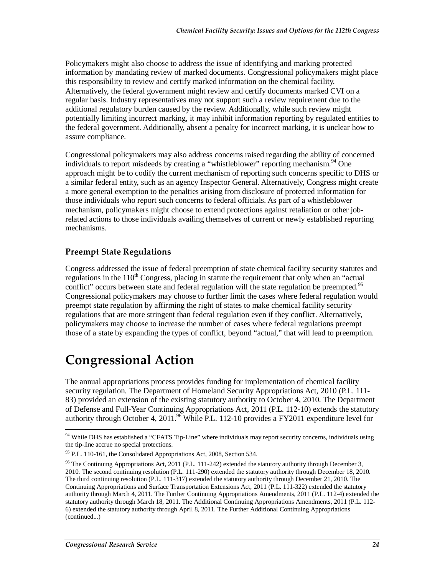Policymakers might also choose to address the issue of identifying and marking protected information by mandating review of marked documents. Congressional policymakers might place this responsibility to review and certify marked information on the chemical facility. Alternatively, the federal government might review and certify documents marked CVI on a regular basis. Industry representatives may not support such a review requirement due to the additional regulatory burden caused by the review. Additionally, while such review might potentially limiting incorrect marking, it may inhibit information reporting by regulated entities to the federal government. Additionally, absent a penalty for incorrect marking, it is unclear how to assure compliance.

Congressional policymakers may also address concerns raised regarding the ability of concerned individuals to report misdeeds by creating a "whistleblower" reporting mechanism.<sup>94</sup> One approach might be to codify the current mechanism of reporting such concerns specific to DHS or a similar federal entity, such as an agency Inspector General. Alternatively, Congress might create a more general exemption to the penalties arising from disclosure of protected information for those individuals who report such concerns to federal officials. As part of a whistleblower mechanism, policymakers might choose to extend protections against retaliation or other jobrelated actions to those individuals availing themselves of current or newly established reporting mechanisms.

#### **Preempt State Regulations**

Congress addressed the issue of federal preemption of state chemical facility security statutes and regulations in the  $110<sup>th</sup>$  Congress, placing in statute the requirement that only when an "actual" conflict" occurs between state and federal regulation will the state regulation be preempted.<sup>95</sup> Congressional policymakers may choose to further limit the cases where federal regulation would preempt state regulation by affirming the right of states to make chemical facility security regulations that are more stringent than federal regulation even if they conflict. Alternatively, policymakers may choose to increase the number of cases where federal regulations preempt those of a state by expanding the types of conflict, beyond "actual," that will lead to preemption.

## **Congressional Action**

The annual appropriations process provides funding for implementation of chemical facility security regulation. The Department of Homeland Security Appropriations Act, 2010 (P.L. 111- 83) provided an extension of the existing statutory authority to October 4, 2010. The Department of Defense and Full-Year Continuing Appropriations Act, 2011 (P.L. 112-10) extends the statutory authority through October 4, 2011.<sup>96</sup> While P.L. 112-10 provides a FY2011 expenditure level for

<sup>-</sup><sup>94</sup> While DHS has established a "CFATS Tip-Line" where individuals may report security concerns, individuals using the tip-line accrue no special protections.

 $95$  P.L. 110-161, the Consolidated Appropriations Act, 2008, Section 534.

<sup>&</sup>lt;sup>96</sup> The Continuing Appropriations Act, 2011 (P.L. 111-242) extended the statutory authority through December 3, 2010. The second continuing resolution (P.L. 111-290) extended the statutory authority through December 18, 2010. The third continuing resolution (P.L. 111-317) extended the statutory authority through December 21, 2010. The Continuing Appropriations and Surface Transportation Extensions Act, 2011 (P.L. 111-322) extended the statutory authority through March 4, 2011. The Further Continuing Appropriations Amendments, 2011 (P.L. 112-4) extended the statutory authority through March 18, 2011. The Additional Continuing Appropriations Amendments, 2011 (P.L. 112- 6) extended the statutory authority through April 8, 2011. The Further Additional Continuing Appropriations (continued...)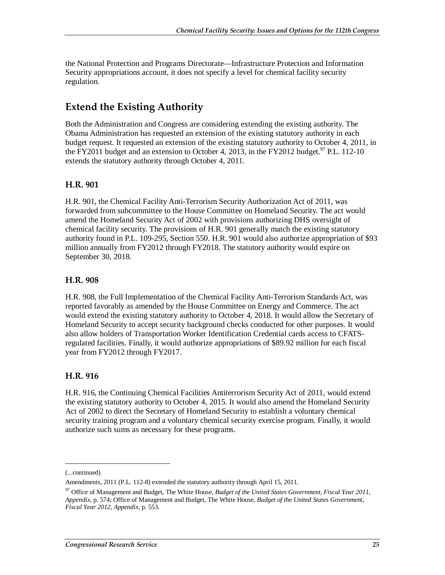the National Protection and Programs Directorate—Infrastructure Protection and Information Security appropriations account, it does not specify a level for chemical facility security regulation.

## **Extend the Existing Authority**

Both the Administration and Congress are considering extending the existing authority. The Obama Administration has requested an extension of the existing statutory authority in each budget request. It requested an extension of the existing statutory authority to October 4, 2011, in the FY2011 budget and an extension to October 4, 2013, in the FY2012 budget.<sup>97</sup> P.L. 112-10 extends the statutory authority through October 4, 2011.

#### **H.R. 901**

H.R. 901, the Chemical Facility Anti-Terrorism Security Authorization Act of 2011, was forwarded from subcommittee to the House Committee on Homeland Security. The act would amend the Homeland Security Act of 2002 with provisions authorizing DHS oversight of chemical facility security. The provisions of H.R. 901 generally match the existing statutory authority found in P.L. 109-295, Section 550. H.R. 901 would also authorize appropriation of \$93 million annually from FY2012 through FY2018. The statutory authority would expire on September 30, 2018.

#### **H.R. 908**

H.R. 908, the Full Implementation of the Chemical Facility Anti-Terrorism Standards Act, was reported favorably as amended by the House Committee on Energy and Commerce. The act would extend the existing statutory authority to October 4, 2018. It would allow the Secretary of Homeland Security to accept security background checks conducted for other purposes. It would also allow holders of Transportation Worker Identification Credential cards access to CFATSregulated facilities. Finally, it would authorize appropriations of \$89.92 million for each fiscal year from FY2012 through FY2017.

### **H.R. 916**

H.R. 916, the Continuing Chemical Facilities Antiterrorism Security Act of 2011, would extend the existing statutory authority to October 4, 2015. It would also amend the Homeland Security Act of 2002 to direct the Secretary of Homeland Security to establish a voluntary chemical security training program and a voluntary chemical security exercise program. Finally, it would authorize such sums as necessary for these programs.

1

<sup>(...</sup>continued)

Amendments, 2011 (P.L. 112-8) extended the statutory authority through April 15, 2011.

<sup>&</sup>lt;sup>97</sup> Office of Management and Budget, The White House, *Budget of the United States Government, Fiscal Year 2011*, *Appendix*, p. 574; Office of Management and Budget, The White House, *Budget of the United States Government, Fiscal Year 2012, Appendix*, p. 553.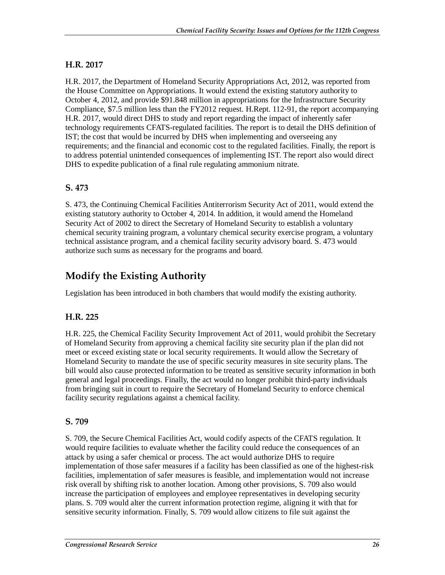### **H.R. 2017**

H.R. 2017, the Department of Homeland Security Appropriations Act, 2012, was reported from the House Committee on Appropriations. It would extend the existing statutory authority to October 4, 2012, and provide \$91.848 million in appropriations for the Infrastructure Security Compliance, \$7.5 million less than the FY2012 request. H.Rept. 112-91, the report accompanying H.R. 2017, would direct DHS to study and report regarding the impact of inherently safer technology requirements CFATS-regulated facilities. The report is to detail the DHS definition of IST; the cost that would be incurred by DHS when implementing and overseeing any requirements; and the financial and economic cost to the regulated facilities. Finally, the report is to address potential unintended consequences of implementing IST. The report also would direct DHS to expedite publication of a final rule regulating ammonium nitrate.

### **S. 473**

S. 473, the Continuing Chemical Facilities Antiterrorism Security Act of 2011, would extend the existing statutory authority to October 4, 2014. In addition, it would amend the Homeland Security Act of 2002 to direct the Secretary of Homeland Security to establish a voluntary chemical security training program, a voluntary chemical security exercise program, a voluntary technical assistance program, and a chemical facility security advisory board. S. 473 would authorize such sums as necessary for the programs and board.

## **Modify the Existing Authority**

Legislation has been introduced in both chambers that would modify the existing authority.

### **H.R. 225**

H.R. 225, the Chemical Facility Security Improvement Act of 2011, would prohibit the Secretary of Homeland Security from approving a chemical facility site security plan if the plan did not meet or exceed existing state or local security requirements. It would allow the Secretary of Homeland Security to mandate the use of specific security measures in site security plans. The bill would also cause protected information to be treated as sensitive security information in both general and legal proceedings. Finally, the act would no longer prohibit third-party individuals from bringing suit in court to require the Secretary of Homeland Security to enforce chemical facility security regulations against a chemical facility.

### **S. 709**

S. 709, the Secure Chemical Facilities Act, would codify aspects of the CFATS regulation. It would require facilities to evaluate whether the facility could reduce the consequences of an attack by using a safer chemical or process. The act would authorize DHS to require implementation of those safer measures if a facility has been classified as one of the highest-risk facilities, implementation of safer measures is feasible, and implementation would not increase risk overall by shifting risk to another location. Among other provisions, S. 709 also would increase the participation of employees and employee representatives in developing security plans. S. 709 would alter the current information protection regime, aligning it with that for sensitive security information. Finally, S. 709 would allow citizens to file suit against the